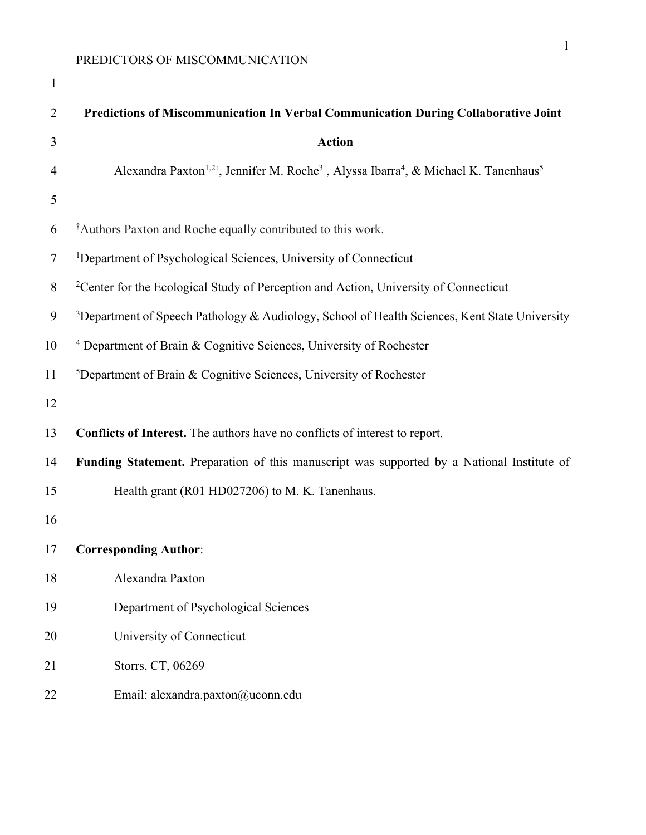| $\mathbf{1}$   |                                                                                                                                       |
|----------------|---------------------------------------------------------------------------------------------------------------------------------------|
| $\overline{2}$ | Predictions of Miscommunication In Verbal Communication During Collaborative Joint                                                    |
| 3              | <b>Action</b>                                                                                                                         |
| 4              | Alexandra Paxton <sup>1,2†</sup> , Jennifer M. Roche <sup>3†</sup> , Alyssa Ibarra <sup>4</sup> , & Michael K. Tanenhaus <sup>5</sup> |
| 5              |                                                                                                                                       |
| 6              | <sup>†</sup> Authors Paxton and Roche equally contributed to this work.                                                               |
| $\tau$         | <sup>1</sup> Department of Psychological Sciences, University of Connecticut                                                          |
| 8              | <sup>2</sup> Center for the Ecological Study of Perception and Action, University of Connecticut                                      |
| 9              | <sup>3</sup> Department of Speech Pathology & Audiology, School of Health Sciences, Kent State University                             |
| 10             | <sup>4</sup> Department of Brain & Cognitive Sciences, University of Rochester                                                        |
| 11             | <sup>5</sup> Department of Brain & Cognitive Sciences, University of Rochester                                                        |
| 12             |                                                                                                                                       |
| 13             | Conflicts of Interest. The authors have no conflicts of interest to report.                                                           |
| 14             | Funding Statement. Preparation of this manuscript was supported by a National Institute of                                            |
| 15             | Health grant (R01 HD027206) to M. K. Tanenhaus.                                                                                       |
| 16             |                                                                                                                                       |
| 17             | <b>Corresponding Author:</b>                                                                                                          |
| 18             | Alexandra Paxton                                                                                                                      |
| 19             | Department of Psychological Sciences                                                                                                  |
| 20             | University of Connecticut                                                                                                             |
| 21             | Storrs, CT, 06269                                                                                                                     |
| 22             | Email: alexandra.paxton@uconn.edu                                                                                                     |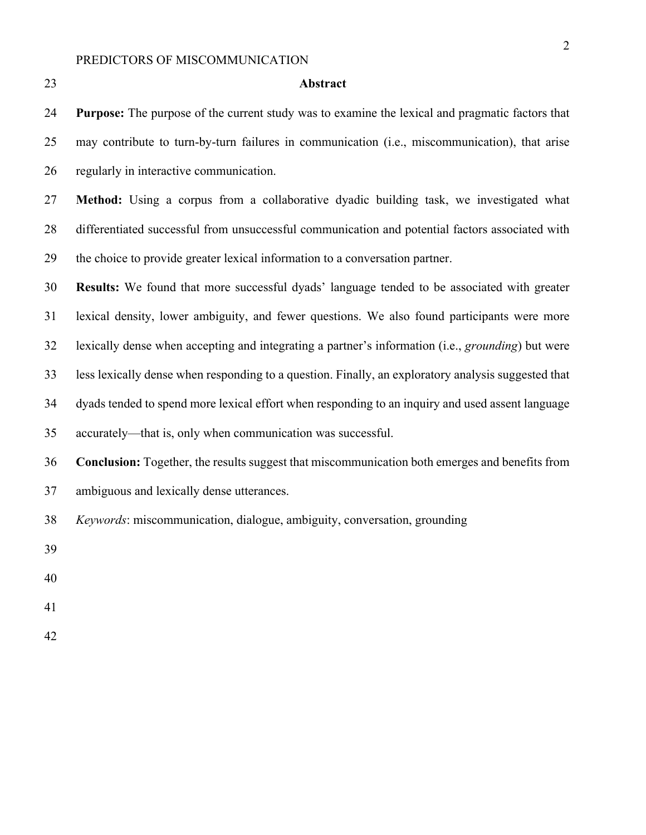| ٠  | . .               |
|----|-------------------|
| ۰. |                   |
|    | I<br>I<br>×<br>۰. |

#### Abstract

 **Purpose:** The purpose of the current study was to examine the lexical and pragmatic factors that may contribute to turn-by-turn failures in communication (i.e., miscommunication), that arise regularly in interactive communication.

 **Method:** Using a corpus from a collaborative dyadic building task, we investigated what differentiated successful from unsuccessful communication and potential factors associated with the choice to provide greater lexical information to a conversation partner.

 **Results:** We found that more successful dyads' language tended to be associated with greater lexical density, lower ambiguity, and fewer questions. We also found participants were more lexically dense when accepting and integrating a partner's information (i.e., *grounding*) but were less lexically dense when responding to a question. Finally, an exploratory analysis suggested that dyads tended to spend more lexical effort when responding to an inquiry and used assent language accurately—that is, only when communication was successful. **Conclusion:** Together, the results suggest that miscommunication both emerges and benefits from

ambiguous and lexically dense utterances.

*Keywords*: miscommunication, dialogue, ambiguity, conversation, grounding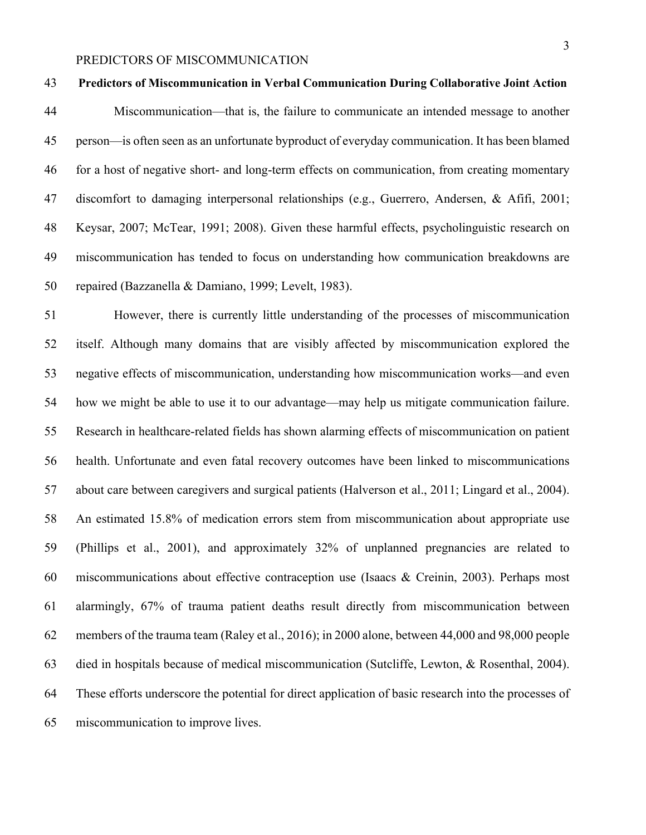#### **Predictors of Miscommunication in Verbal Communication During Collaborative Joint Action**

 Miscommunication—that is, the failure to communicate an intended message to another person—is often seen as an unfortunate byproduct of everyday communication. It has been blamed for a host of negative short- and long-term effects on communication, from creating momentary discomfort to damaging interpersonal relationships (e.g., Guerrero, Andersen, & Afifi, 2001; Keysar, 2007; McTear, 1991; 2008). Given these harmful effects, psycholinguistic research on miscommunication has tended to focus on understanding how communication breakdowns are repaired (Bazzanella & Damiano, 1999; Levelt, 1983).

 However, there is currently little understanding of the processes of miscommunication itself. Although many domains that are visibly affected by miscommunication explored the negative effects of miscommunication, understanding how miscommunication works—and even how we might be able to use it to our advantage—may help us mitigate communication failure. Research in healthcare-related fields has shown alarming effects of miscommunication on patient health. Unfortunate and even fatal recovery outcomes have been linked to miscommunications about care between caregivers and surgical patients (Halverson et al., 2011; Lingard et al., 2004). An estimated 15.8% of medication errors stem from miscommunication about appropriate use (Phillips et al., 2001), and approximately 32% of unplanned pregnancies are related to miscommunications about effective contraception use (Isaacs & Creinin, 2003). Perhaps most alarmingly, 67% of trauma patient deaths result directly from miscommunication between members of the trauma team (Raley et al., 2016); in 2000 alone, between 44,000 and 98,000 people died in hospitals because of medical miscommunication (Sutcliffe, Lewton, & Rosenthal, 2004). These efforts underscore the potential for direct application of basic research into the processes of miscommunication to improve lives.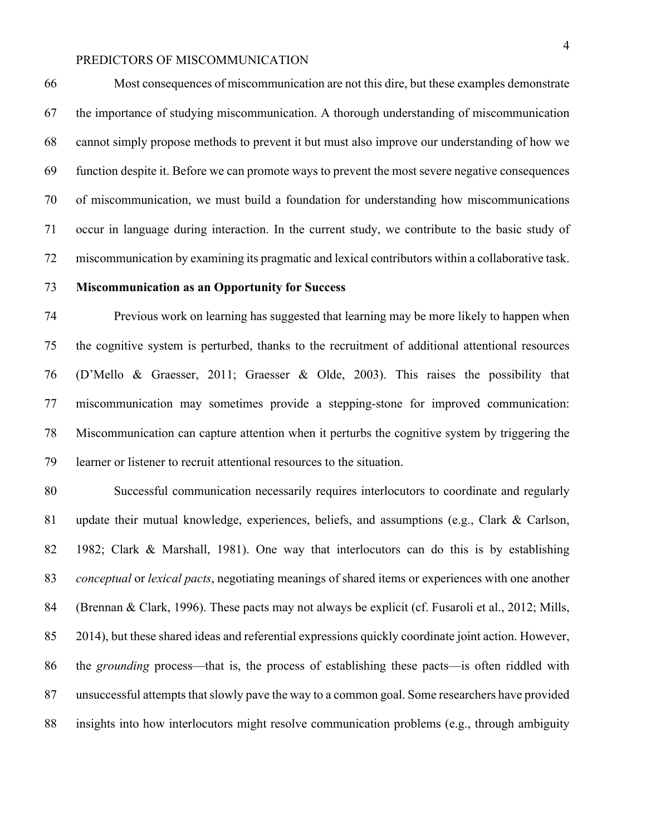Most consequences of miscommunication are not this dire, but these examples demonstrate the importance of studying miscommunication. A thorough understanding of miscommunication cannot simply propose methods to prevent it but must also improve our understanding of how we function despite it. Before we can promote ways to prevent the most severe negative consequences of miscommunication, we must build a foundation for understanding how miscommunications occur in language during interaction. In the current study, we contribute to the basic study of miscommunication by examining its pragmatic and lexical contributors within a collaborative task.

#### **Miscommunication as an Opportunity for Success**

 Previous work on learning has suggested that learning may be more likely to happen when the cognitive system is perturbed, thanks to the recruitment of additional attentional resources (D'Mello & Graesser, 2011; Graesser & Olde, 2003). This raises the possibility that miscommunication may sometimes provide a stepping-stone for improved communication: Miscommunication can capture attention when it perturbs the cognitive system by triggering the learner or listener to recruit attentional resources to the situation.

 Successful communication necessarily requires interlocutors to coordinate and regularly update their mutual knowledge, experiences, beliefs, and assumptions (e.g., Clark & Carlson, 1982; Clark & Marshall, 1981). One way that interlocutors can do this is by establishing *conceptual* or *lexical pacts*, negotiating meanings of shared items or experiences with one another (Brennan & Clark, 1996). These pacts may not always be explicit (cf. Fusaroli et al., 2012; Mills, 2014), but these shared ideas and referential expressions quickly coordinate joint action. However, the *grounding* process—that is, the process of establishing these pacts—is often riddled with unsuccessful attempts that slowly pave the way to a common goal. Some researchers have provided insights into how interlocutors might resolve communication problems (e.g., through ambiguity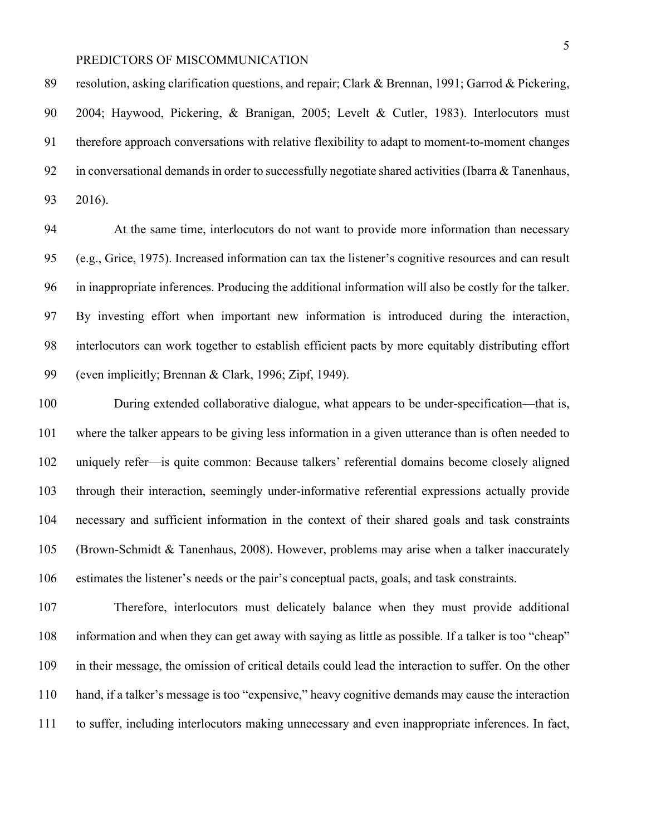resolution, asking clarification questions, and repair; Clark & Brennan, 1991; Garrod & Pickering, 2004; Haywood, Pickering, & Branigan, 2005; Levelt & Cutler, 1983). Interlocutors must therefore approach conversations with relative flexibility to adapt to moment-to-moment changes in conversational demands in order to successfully negotiate shared activities (Ibarra & Tanenhaus, 2016).

 At the same time, interlocutors do not want to provide more information than necessary (e.g., Grice, 1975). Increased information can tax the listener's cognitive resources and can result in inappropriate inferences. Producing the additional information will also be costly for the talker. By investing effort when important new information is introduced during the interaction, interlocutors can work together to establish efficient pacts by more equitably distributing effort (even implicitly; Brennan & Clark, 1996; Zipf, 1949).

 During extended collaborative dialogue, what appears to be under-specification—that is, where the talker appears to be giving less information in a given utterance than is often needed to uniquely refer—is quite common: Because talkers' referential domains become closely aligned through their interaction, seemingly under-informative referential expressions actually provide necessary and sufficient information in the context of their shared goals and task constraints (Brown-Schmidt & Tanenhaus, 2008). However, problems may arise when a talker inaccurately estimates the listener's needs or the pair's conceptual pacts, goals, and task constraints.

 Therefore, interlocutors must delicately balance when they must provide additional information and when they can get away with saying as little as possible. If a talker is too "cheap" in their message, the omission of critical details could lead the interaction to suffer. On the other hand, if a talker's message is too "expensive," heavy cognitive demands may cause the interaction to suffer, including interlocutors making unnecessary and even inappropriate inferences. In fact,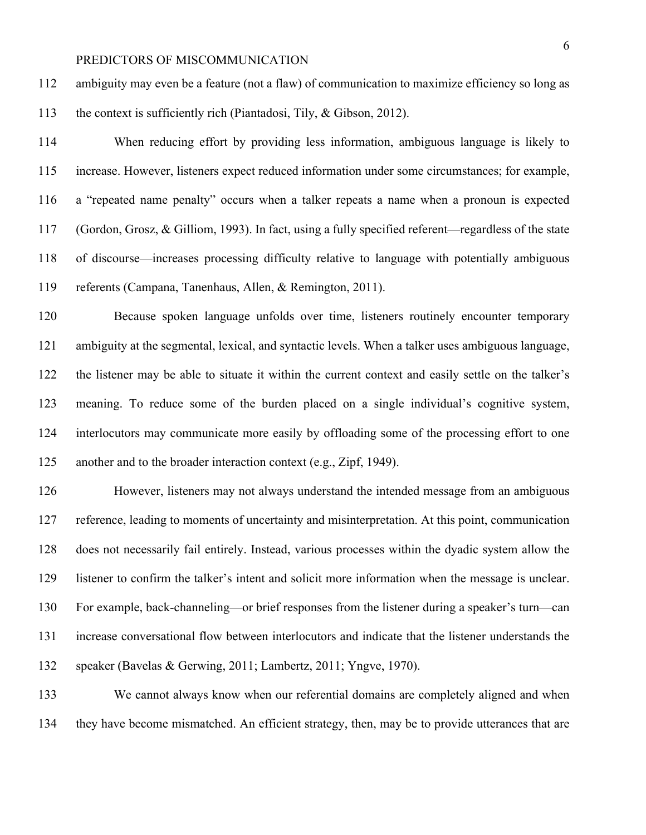ambiguity may even be a feature (not a flaw) of communication to maximize efficiency so long as the context is sufficiently rich (Piantadosi, Tily, & Gibson, 2012).

 When reducing effort by providing less information, ambiguous language is likely to increase. However, listeners expect reduced information under some circumstances; for example, a "repeated name penalty" occurs when a talker repeats a name when a pronoun is expected (Gordon, Grosz, & Gilliom, 1993). In fact, using a fully specified referent—regardless of the state of discourse—increases processing difficulty relative to language with potentially ambiguous referents (Campana, Tanenhaus, Allen, & Remington, 2011).

 Because spoken language unfolds over time, listeners routinely encounter temporary ambiguity at the segmental, lexical, and syntactic levels. When a talker uses ambiguous language, the listener may be able to situate it within the current context and easily settle on the talker's meaning. To reduce some of the burden placed on a single individual's cognitive system, interlocutors may communicate more easily by offloading some of the processing effort to one another and to the broader interaction context (e.g., Zipf, 1949).

 However, listeners may not always understand the intended message from an ambiguous reference, leading to moments of uncertainty and misinterpretation. At this point, communication does not necessarily fail entirely. Instead, various processes within the dyadic system allow the listener to confirm the talker's intent and solicit more information when the message is unclear. For example, back-channeling—or brief responses from the listener during a speaker's turn—can increase conversational flow between interlocutors and indicate that the listener understands the speaker (Bavelas & Gerwing, 2011; Lambertz, 2011; Yngve, 1970).

 We cannot always know when our referential domains are completely aligned and when they have become mismatched. An efficient strategy, then, may be to provide utterances that are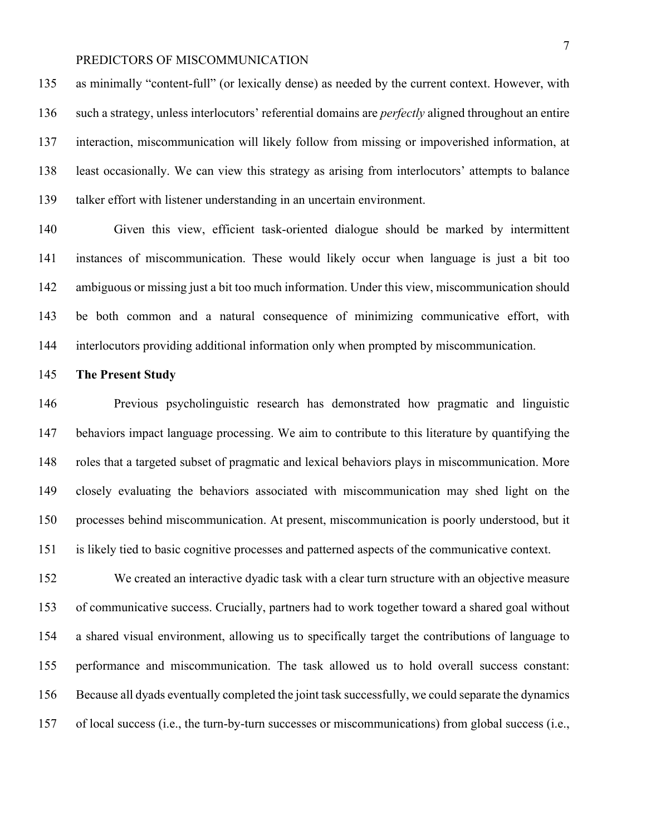as minimally "content-full" (or lexically dense) as needed by the current context. However, with such a strategy, unless interlocutors' referential domains are *perfectly* aligned throughout an entire interaction, miscommunication will likely follow from missing or impoverished information, at least occasionally. We can view this strategy as arising from interlocutors' attempts to balance talker effort with listener understanding in an uncertain environment.

 Given this view, efficient task-oriented dialogue should be marked by intermittent instances of miscommunication. These would likely occur when language is just a bit too ambiguous or missing just a bit too much information. Under this view, miscommunication should be both common and a natural consequence of minimizing communicative effort, with interlocutors providing additional information only when prompted by miscommunication.

#### **The Present Study**

 Previous psycholinguistic research has demonstrated how pragmatic and linguistic behaviors impact language processing. We aim to contribute to this literature by quantifying the roles that a targeted subset of pragmatic and lexical behaviors plays in miscommunication. More closely evaluating the behaviors associated with miscommunication may shed light on the processes behind miscommunication. At present, miscommunication is poorly understood, but it is likely tied to basic cognitive processes and patterned aspects of the communicative context.

 We created an interactive dyadic task with a clear turn structure with an objective measure of communicative success. Crucially, partners had to work together toward a shared goal without a shared visual environment, allowing us to specifically target the contributions of language to performance and miscommunication. The task allowed us to hold overall success constant: Because all dyads eventually completed the joint task successfully, we could separate the dynamics of local success (i.e., the turn-by-turn successes or miscommunications) from global success (i.e.,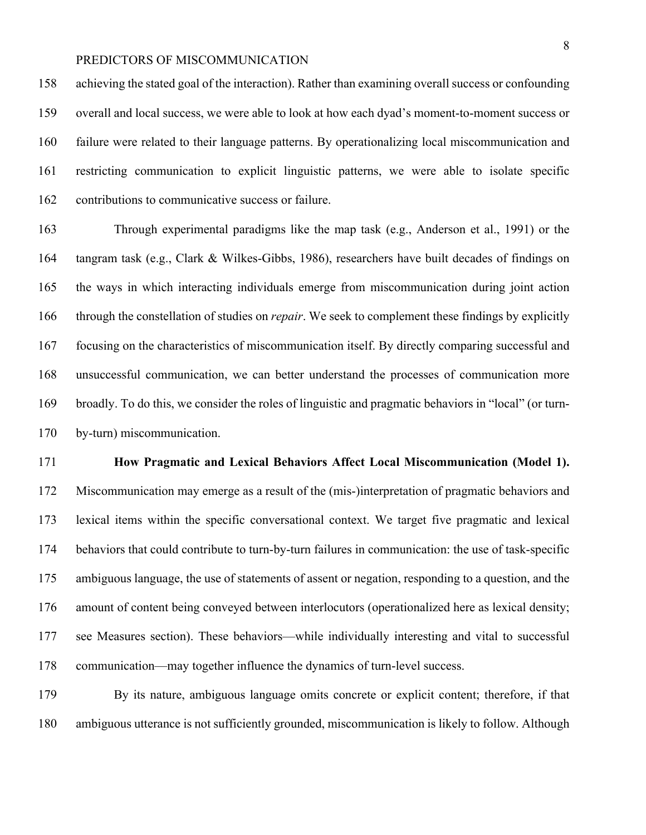achieving the stated goal of the interaction). Rather than examining overall success or confounding overall and local success, we were able to look at how each dyad's moment-to-moment success or failure were related to their language patterns. By operationalizing local miscommunication and restricting communication to explicit linguistic patterns, we were able to isolate specific contributions to communicative success or failure.

 Through experimental paradigms like the map task (e.g., Anderson et al., 1991) or the tangram task (e.g., Clark & Wilkes-Gibbs, 1986), researchers have built decades of findings on the ways in which interacting individuals emerge from miscommunication during joint action through the constellation of studies on *repair*. We seek to complement these findings by explicitly focusing on the characteristics of miscommunication itself. By directly comparing successful and unsuccessful communication, we can better understand the processes of communication more broadly. To do this, we consider the roles of linguistic and pragmatic behaviors in "local" (or turn-by-turn) miscommunication.

# **How Pragmatic and Lexical Behaviors Affect Local Miscommunication (Model 1).**

 Miscommunication may emerge as a result of the (mis-)interpretation of pragmatic behaviors and lexical items within the specific conversational context. We target five pragmatic and lexical behaviors that could contribute to turn-by-turn failures in communication: the use of task-specific ambiguous language, the use of statements of assent or negation, responding to a question, and the amount of content being conveyed between interlocutors (operationalized here as lexical density; see Measures section). These behaviors—while individually interesting and vital to successful communication—may together influence the dynamics of turn-level success.

 By its nature, ambiguous language omits concrete or explicit content; therefore, if that ambiguous utterance is not sufficiently grounded, miscommunication is likely to follow. Although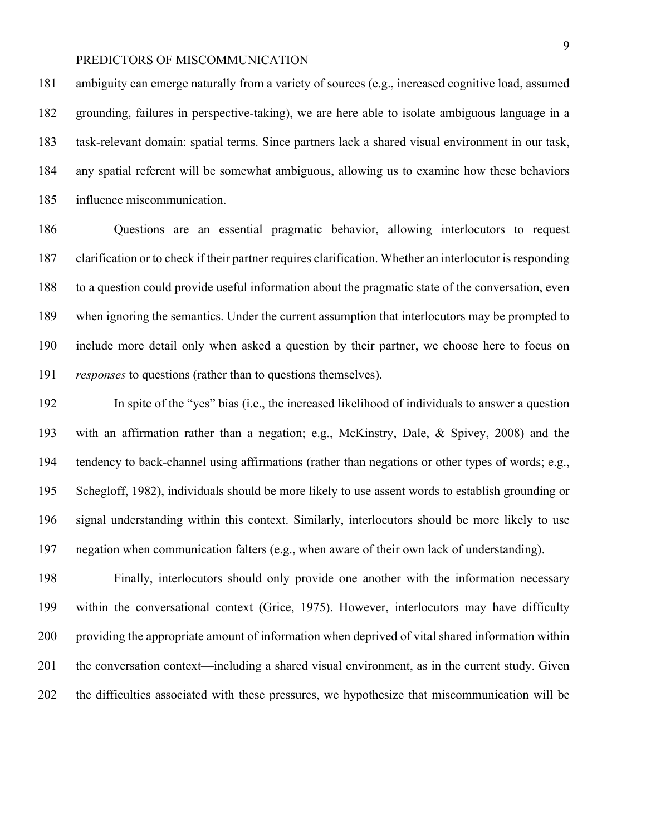ambiguity can emerge naturally from a variety of sources (e.g., increased cognitive load, assumed grounding, failures in perspective-taking), we are here able to isolate ambiguous language in a task-relevant domain: spatial terms. Since partners lack a shared visual environment in our task, any spatial referent will be somewhat ambiguous, allowing us to examine how these behaviors influence miscommunication.

 Questions are an essential pragmatic behavior, allowing interlocutors to request clarification or to check if their partner requires clarification. Whether an interlocutor is responding to a question could provide useful information about the pragmatic state of the conversation, even when ignoring the semantics. Under the current assumption that interlocutors may be prompted to include more detail only when asked a question by their partner, we choose here to focus on *responses* to questions (rather than to questions themselves).

 In spite of the "yes" bias (i.e., the increased likelihood of individuals to answer a question with an affirmation rather than a negation; e.g., McKinstry, Dale, & Spivey, 2008) and the tendency to back-channel using affirmations (rather than negations or other types of words; e.g., Schegloff, 1982), individuals should be more likely to use assent words to establish grounding or signal understanding within this context. Similarly, interlocutors should be more likely to use negation when communication falters (e.g., when aware of their own lack of understanding).

 Finally, interlocutors should only provide one another with the information necessary within the conversational context (Grice, 1975). However, interlocutors may have difficulty providing the appropriate amount of information when deprived of vital shared information within the conversation context—including a shared visual environment, as in the current study. Given the difficulties associated with these pressures, we hypothesize that miscommunication will be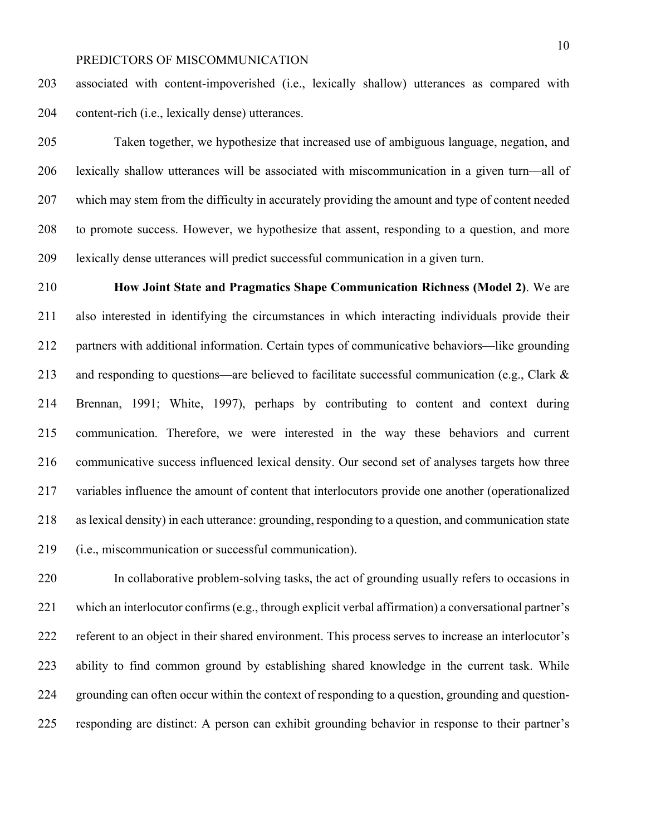associated with content-impoverished (i.e., lexically shallow) utterances as compared with content-rich (i.e., lexically dense) utterances.

 Taken together, we hypothesize that increased use of ambiguous language, negation, and lexically shallow utterances will be associated with miscommunication in a given turn—all of which may stem from the difficulty in accurately providing the amount and type of content needed to promote success. However, we hypothesize that assent, responding to a question, and more lexically dense utterances will predict successful communication in a given turn.

 **How Joint State and Pragmatics Shape Communication Richness (Model 2)**. We are also interested in identifying the circumstances in which interacting individuals provide their partners with additional information. Certain types of communicative behaviors—like grounding 213 and responding to questions—are believed to facilitate successful communication (e.g., Clark  $\&$  Brennan, 1991; White, 1997), perhaps by contributing to content and context during communication. Therefore, we were interested in the way these behaviors and current communicative success influenced lexical density. Our second set of analyses targets how three variables influence the amount of content that interlocutors provide one another (operationalized as lexical density) in each utterance: grounding, responding to a question, and communication state (i.e., miscommunication or successful communication).

 In collaborative problem-solving tasks, the act of grounding usually refers to occasions in which an interlocutor confirms (e.g., through explicit verbal affirmation) a conversational partner's referent to an object in their shared environment. This process serves to increase an interlocutor's ability to find common ground by establishing shared knowledge in the current task. While grounding can often occur within the context of responding to a question, grounding and question-responding are distinct: A person can exhibit grounding behavior in response to their partner's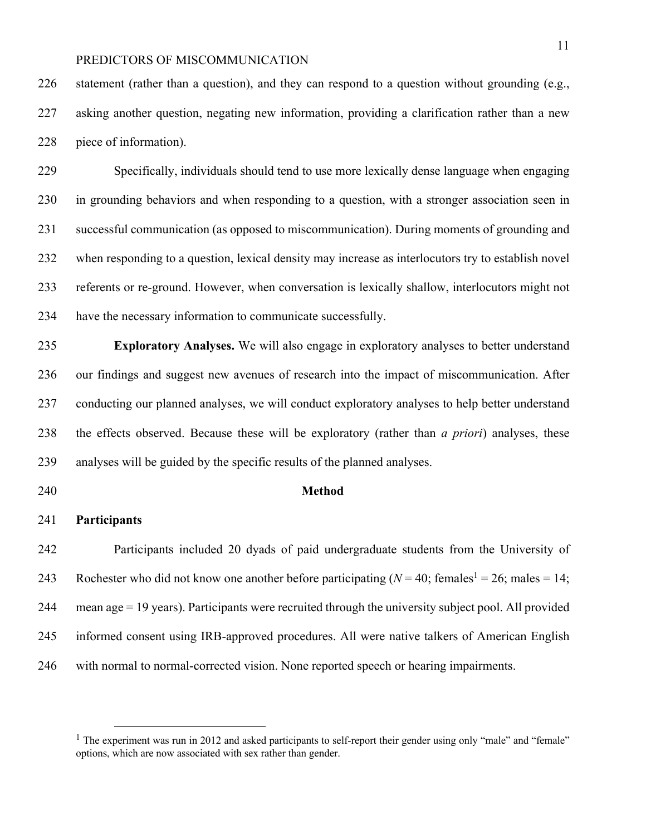statement (rather than a question), and they can respond to a question without grounding (e.g., asking another question, negating new information, providing a clarification rather than a new piece of information).

 Specifically, individuals should tend to use more lexically dense language when engaging in grounding behaviors and when responding to a question, with a stronger association seen in successful communication (as opposed to miscommunication). During moments of grounding and when responding to a question, lexical density may increase as interlocutors try to establish novel referents or re-ground. However, when conversation is lexically shallow, interlocutors might not have the necessary information to communicate successfully.

 **Exploratory Analyses.** We will also engage in exploratory analyses to better understand our findings and suggest new avenues of research into the impact of miscommunication. After conducting our planned analyses, we will conduct exploratory analyses to help better understand the effects observed. Because these will be exploratory (rather than *a priori*) analyses, these analyses will be guided by the specific results of the planned analyses.

#### **Method**

#### **Participants**

 Participants included 20 dyads of paid undergraduate students from the University of 243 Rochester who did not know one another before participating  $(N = 40; \text{ females}^1 = 26; \text{ males} = 14;$  mean age = 19 years). Participants were recruited through the university subject pool. All provided informed consent using IRB-approved procedures. All were native talkers of American English with normal to normal-corrected vision. None reported speech or hearing impairments.

<sup>&</sup>lt;sup>1</sup> The experiment was run in 2012 and asked participants to self-report their gender using only "male" and "female" options, which are now associated with sex rather than gender.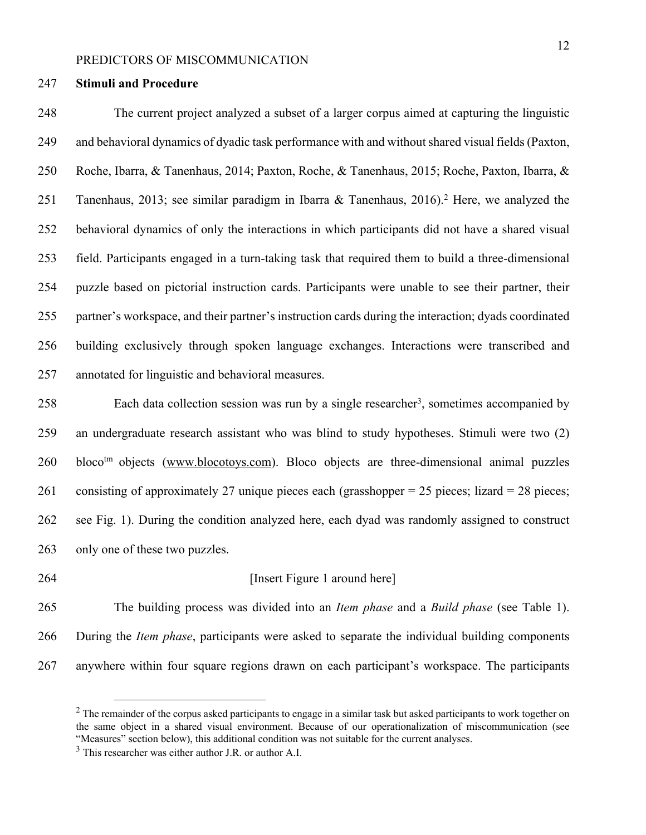#### **Stimuli and Procedure**

 The current project analyzed a subset of a larger corpus aimed at capturing the linguistic and behavioral dynamics of dyadic task performance with and without shared visual fields (Paxton, Roche, Ibarra, & Tanenhaus, 2014; Paxton, Roche, & Tanenhaus, 2015; Roche, Paxton, Ibarra, & 251 Tanenhaus, 2013; see similar paradigm in Ibarra & Tanenhaus, 2016).<sup>2</sup> Here, we analyzed the behavioral dynamics of only the interactions in which participants did not have a shared visual field. Participants engaged in a turn-taking task that required them to build a three-dimensional puzzle based on pictorial instruction cards. Participants were unable to see their partner, their partner's workspace, and their partner's instruction cards during the interaction; dyads coordinated building exclusively through spoken language exchanges. Interactions were transcribed and annotated for linguistic and behavioral measures.

258 Each data collection session was run by a single researcher<sup>3</sup>, sometimes accompanied by an undergraduate research assistant who was blind to study hypotheses. Stimuli were two (2) 260 bloco<sup>tm</sup> objects (www.blocotoys.com). Bloco objects are three-dimensional animal puzzles consisting of approximately 27 unique pieces each (grasshopper = 25 pieces; lizard = 28 pieces; see Fig. 1). During the condition analyzed here, each dyad was randomly assigned to construct only one of these two puzzles.

#### **Insert Figure 1 around here**

 The building process was divided into an *Item phase* and a *Build phase* (see Table 1). During the *Item phase*, participants were asked to separate the individual building components anywhere within four square regions drawn on each participant's workspace. The participants

 The remainder of the corpus asked participants to engage in a similar task but asked participants to work together on the same object in a shared visual environment. Because of our operationalization of miscommunication (see "Measures" section below), this additional condition was not suitable for the current analyses.

This researcher was either author J.R. or author A.I.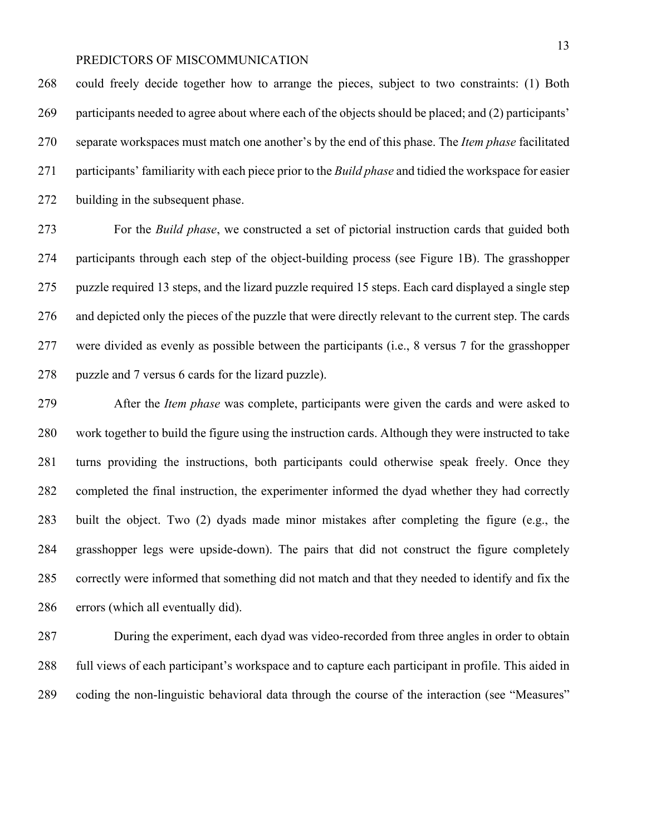could freely decide together how to arrange the pieces, subject to two constraints: (1) Both participants needed to agree about where each of the objects should be placed; and (2) participants' separate workspaces must match one another's by the end of this phase. The *Item phase* facilitated participants' familiarity with each piece prior to the *Build phase* and tidied the workspace for easier building in the subsequent phase.

 For the *Build phase*, we constructed a set of pictorial instruction cards that guided both participants through each step of the object-building process (see Figure 1B). The grasshopper puzzle required 13 steps, and the lizard puzzle required 15 steps. Each card displayed a single step and depicted only the pieces of the puzzle that were directly relevant to the current step. The cards were divided as evenly as possible between the participants (i.e., 8 versus 7 for the grasshopper puzzle and 7 versus 6 cards for the lizard puzzle).

 After the *Item phase* was complete, participants were given the cards and were asked to work together to build the figure using the instruction cards. Although they were instructed to take turns providing the instructions, both participants could otherwise speak freely. Once they completed the final instruction, the experimenter informed the dyad whether they had correctly built the object. Two (2) dyads made minor mistakes after completing the figure (e.g., the grasshopper legs were upside-down). The pairs that did not construct the figure completely correctly were informed that something did not match and that they needed to identify and fix the errors (which all eventually did).

 During the experiment, each dyad was video-recorded from three angles in order to obtain full views of each participant's workspace and to capture each participant in profile. This aided in coding the non-linguistic behavioral data through the course of the interaction (see "Measures"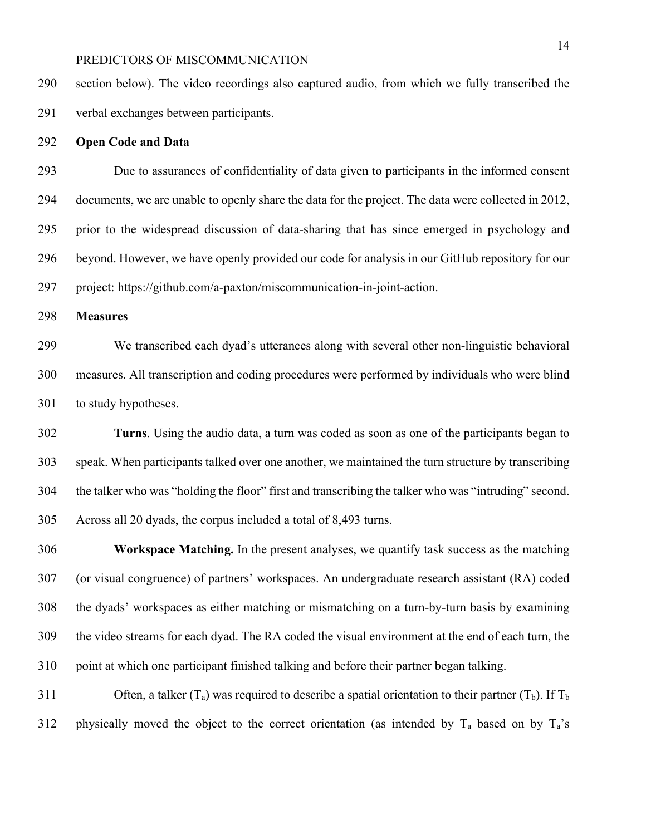section below). The video recordings also captured audio, from which we fully transcribed the verbal exchanges between participants.

### **Open Code and Data**

 Due to assurances of confidentiality of data given to participants in the informed consent documents, we are unable to openly share the data for the project. The data were collected in 2012, prior to the widespread discussion of data-sharing that has since emerged in psychology and beyond. However, we have openly provided our code for analysis in our GitHub repository for our project: https://github.com/a-paxton/miscommunication-in-joint-action.

**Measures**

 We transcribed each dyad's utterances along with several other non-linguistic behavioral measures. All transcription and coding procedures were performed by individuals who were blind to study hypotheses.

 **Turns**. Using the audio data, a turn was coded as soon as one of the participants began to speak. When participants talked over one another, we maintained the turn structure by transcribing the talker who was "holding the floor" first and transcribing the talker who was "intruding" second. Across all 20 dyads, the corpus included a total of 8,493 turns.

 **Workspace Matching.** In the present analyses, we quantify task success as the matching (or visual congruence) of partners' workspaces. An undergraduate research assistant (RA) coded the dyads' workspaces as either matching or mismatching on a turn-by-turn basis by examining the video streams for each dyad. The RA coded the visual environment at the end of each turn, the point at which one participant finished talking and before their partner began talking.

311 Often, a talker  $(T_a)$  was required to describe a spatial orientation to their partner  $(T_b)$ . If  $T_b$ 312 physically moved the object to the correct orientation (as intended by  $T_a$  based on by  $T_a$ 's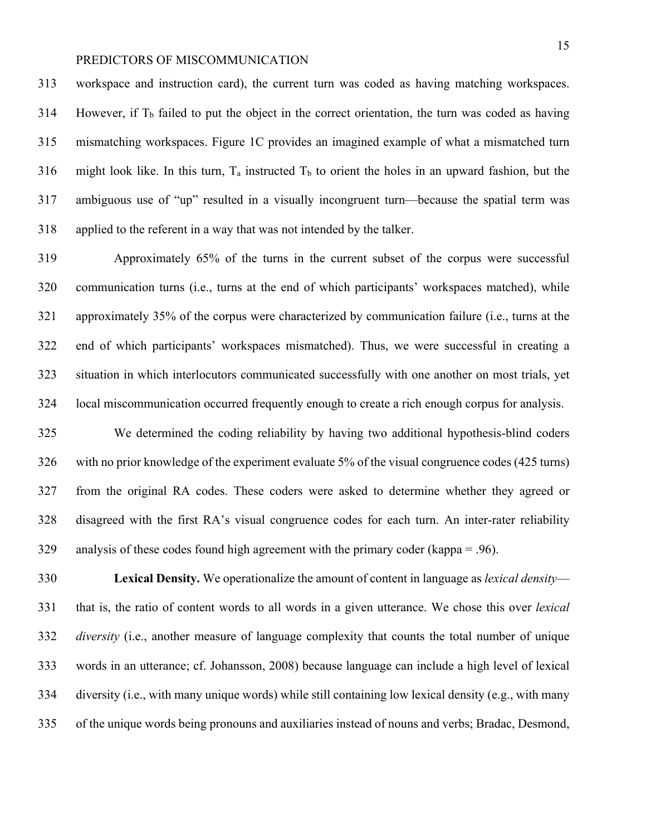workspace and instruction card), the current turn was coded as having matching workspaces. However, if  $T<sub>b</sub>$  failed to put the object in the correct orientation, the turn was coded as having mismatching workspaces. Figure 1C provides an imagined example of what a mismatched turn 316 might look like. In this turn,  $T_a$  instructed  $T_b$  to orient the holes in an upward fashion, but the ambiguous use of "up" resulted in a visually incongruent turn—because the spatial term was applied to the referent in a way that was not intended by the talker.

 Approximately 65% of the turns in the current subset of the corpus were successful communication turns (i.e., turns at the end of which participants' workspaces matched), while approximately 35% of the corpus were characterized by communication failure (i.e., turns at the end of which participants' workspaces mismatched). Thus, we were successful in creating a situation in which interlocutors communicated successfully with one another on most trials, yet local miscommunication occurred frequently enough to create a rich enough corpus for analysis.

 We determined the coding reliability by having two additional hypothesis-blind coders with no prior knowledge of the experiment evaluate 5% of the visual congruence codes (425 turns) from the original RA codes. These coders were asked to determine whether they agreed or disagreed with the first RA's visual congruence codes for each turn. An inter-rater reliability 329 analysis of these codes found high agreement with the primary coder (kappa  $= .96$ ).

 **Lexical Density.** We operationalize the amount of content in language as *lexical density*— that is, the ratio of content words to all words in a given utterance. We chose this over *lexical diversity* (i.e., another measure of language complexity that counts the total number of unique words in an utterance; cf. Johansson, 2008) because language can include a high level of lexical diversity (i.e., with many unique words) while still containing low lexical density (e.g., with many of the unique words being pronouns and auxiliaries instead of nouns and verbs; Bradac, Desmond,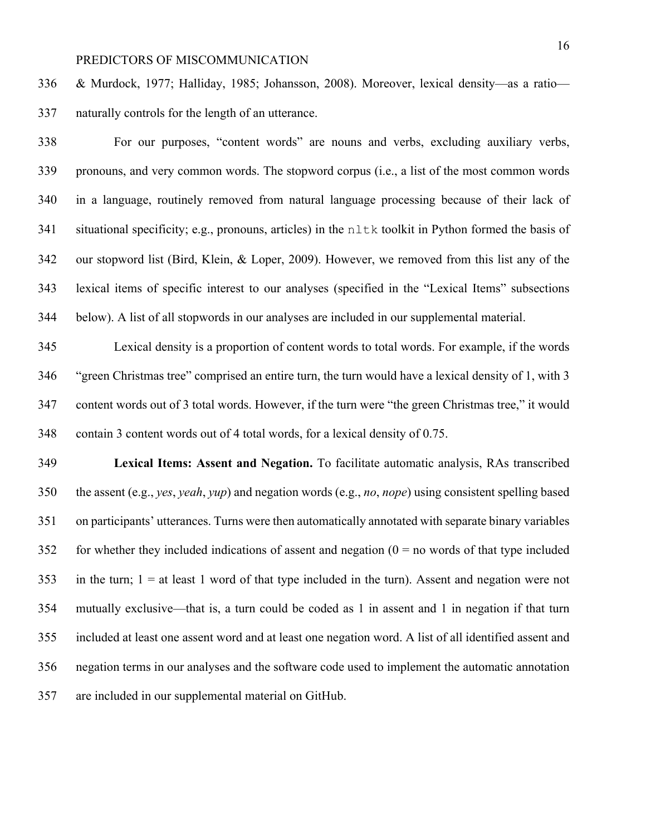& Murdock, 1977; Halliday, 1985; Johansson, 2008). Moreover, lexical density—as a ratio— naturally controls for the length of an utterance.

 For our purposes, "content words" are nouns and verbs, excluding auxiliary verbs, pronouns, and very common words. The stopword corpus (i.e., a list of the most common words in a language, routinely removed from natural language processing because of their lack of 341 situational specificity; e.g., pronouns, articles) in the nltk toolkit in Python formed the basis of our stopword list (Bird, Klein, & Loper, 2009). However, we removed from this list any of the lexical items of specific interest to our analyses (specified in the "Lexical Items" subsections below). A list of all stopwords in our analyses are included in our supplemental material.

 Lexical density is a proportion of content words to total words. For example, if the words "green Christmas tree" comprised an entire turn, the turn would have a lexical density of 1, with 3 content words out of 3 total words. However, if the turn were "the green Christmas tree," it would contain 3 content words out of 4 total words, for a lexical density of 0.75.

 **Lexical Items: Assent and Negation.** To facilitate automatic analysis, RAs transcribed the assent (e.g., *yes*, *yeah*, *yup*) and negation words (e.g., *no*, *nope*) using consistent spelling based on participants' utterances. Turns were then automatically annotated with separate binary variables 352 for whether they included indications of assent and negation  $(0 = no$  words of that type included in the turn; 1 = at least 1 word of that type included in the turn). Assent and negation were not mutually exclusive—that is, a turn could be coded as 1 in assent and 1 in negation if that turn included at least one assent word and at least one negation word. A list of all identified assent and negation terms in our analyses and the software code used to implement the automatic annotation are included in our supplemental material on GitHub.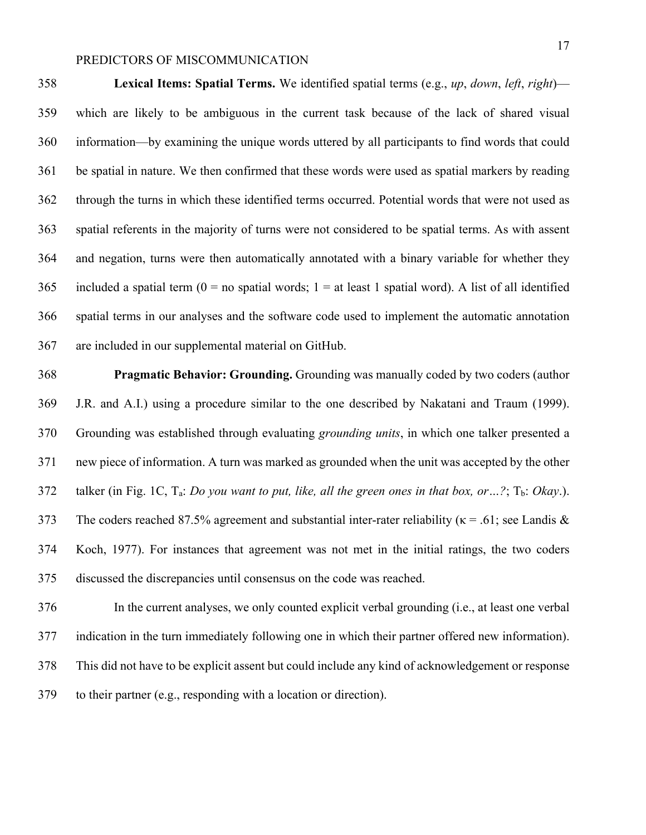**Lexical Items: Spatial Terms.** We identified spatial terms (e.g., *up*, *down*, *left*, *right*)— which are likely to be ambiguous in the current task because of the lack of shared visual information—by examining the unique words uttered by all participants to find words that could be spatial in nature. We then confirmed that these words were used as spatial markers by reading through the turns in which these identified terms occurred. Potential words that were not used as spatial referents in the majority of turns were not considered to be spatial terms. As with assent and negation, turns were then automatically annotated with a binary variable for whether they 365 included a spatial term  $(0 = no$  spatial words;  $1 = at$  least 1 spatial word). A list of all identified spatial terms in our analyses and the software code used to implement the automatic annotation are included in our supplemental material on GitHub.

 **Pragmatic Behavior: Grounding.** Grounding was manually coded by two coders (author J.R. and A.I.) using a procedure similar to the one described by Nakatani and Traum (1999). Grounding was established through evaluating *grounding units*, in which one talker presented a new piece of information. A turn was marked as grounded when the unit was accepted by the other 372 talker (in Fig. 1C, T<sub>a</sub>: *Do you want to put, like, all the green ones in that box, or* ...?; T<sub>b</sub>: *Okay*.). 373 The coders reached 87.5% agreement and substantial inter-rater reliability ( $\kappa$  = .61; see Landis & Koch, 1977). For instances that agreement was not met in the initial ratings, the two coders discussed the discrepancies until consensus on the code was reached.

 In the current analyses, we only counted explicit verbal grounding (i.e., at least one verbal indication in the turn immediately following one in which their partner offered new information). This did not have to be explicit assent but could include any kind of acknowledgement or response to their partner (e.g., responding with a location or direction).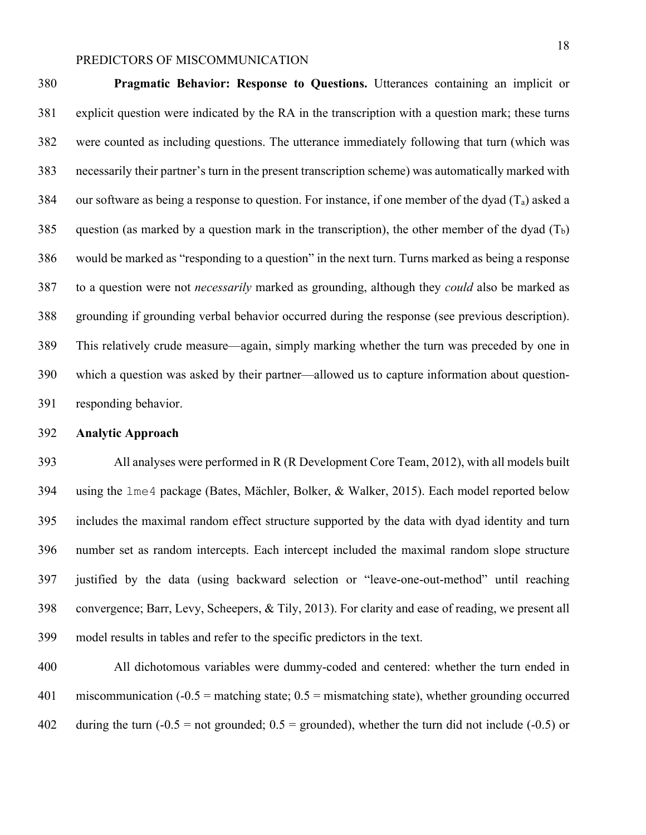**Pragmatic Behavior: Response to Questions.** Utterances containing an implicit or explicit question were indicated by the RA in the transcription with a question mark; these turns were counted as including questions. The utterance immediately following that turn (which was necessarily their partner's turn in the present transcription scheme) was automatically marked with 384 our software as being a response to question. For instance, if one member of the dyad  $(T_a)$  asked a 385 question (as marked by a question mark in the transcription), the other member of the dyad  $(T_b)$  would be marked as "responding to a question" in the next turn. Turns marked as being a response to a question were not *necessarily* marked as grounding, although they *could* also be marked as grounding if grounding verbal behavior occurred during the response (see previous description). This relatively crude measure—again, simply marking whether the turn was preceded by one in which a question was asked by their partner—allowed us to capture information about question-responding behavior.

#### **Analytic Approach**

 All analyses were performed in R (R Development Core Team, 2012), with all models built using the lme4 package (Bates, Mächler, Bolker, & Walker, 2015). Each model reported below includes the maximal random effect structure supported by the data with dyad identity and turn number set as random intercepts. Each intercept included the maximal random slope structure justified by the data (using backward selection or "leave-one-out-method" until reaching convergence; Barr, Levy, Scheepers, & Tily, 2013). For clarity and ease of reading, we present all model results in tables and refer to the specific predictors in the text.

 All dichotomous variables were dummy-coded and centered: whether the turn ended in miscommunication (-0.5 = matching state; 0.5 = mismatching state), whether grounding occurred 402 during the turn  $(-0.5 = not grounded; 0.5 = grounded)$ , whether the turn did not include  $(-0.5)$  or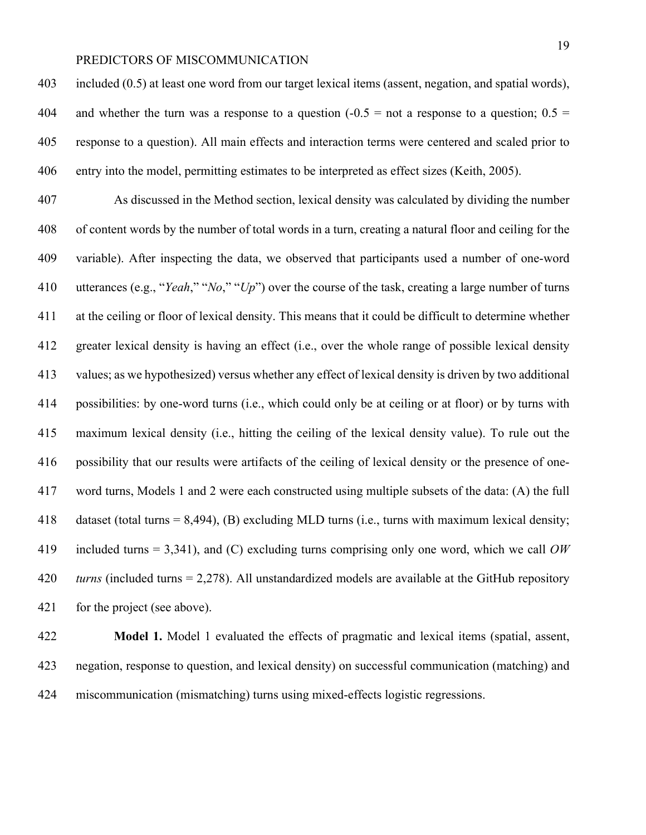included (0.5) at least one word from our target lexical items (assent, negation, and spatial words), 404 and whether the turn was a response to a question  $(-0.5 = \text{not a response to a question})$ ;  $0.5 =$  response to a question). All main effects and interaction terms were centered and scaled prior to entry into the model, permitting estimates to be interpreted as effect sizes (Keith, 2005).

 As discussed in the Method section, lexical density was calculated by dividing the number of content words by the number of total words in a turn, creating a natural floor and ceiling for the variable). After inspecting the data, we observed that participants used a number of one-word utterances (e.g., "*Yeah*," "*No*," "*Up*") over the course of the task, creating a large number of turns at the ceiling or floor of lexical density. This means that it could be difficult to determine whether greater lexical density is having an effect (i.e., over the whole range of possible lexical density values; as we hypothesized) versus whether any effect of lexical density is driven by two additional possibilities: by one-word turns (i.e., which could only be at ceiling or at floor) or by turns with maximum lexical density (i.e., hitting the ceiling of the lexical density value). To rule out the possibility that our results were artifacts of the ceiling of lexical density or the presence of one- word turns, Models 1 and 2 were each constructed using multiple subsets of the data: (A) the full dataset (total turns = 8,494), (B) excluding MLD turns (i.e., turns with maximum lexical density; included turns = 3,341), and (C) excluding turns comprising only one word, which we call *OW turns* (included turns = 2,278). All unstandardized models are available at the GitHub repository 421 for the project (see above).

 **Model 1.** Model 1 evaluated the effects of pragmatic and lexical items (spatial, assent, negation, response to question, and lexical density) on successful communication (matching) and miscommunication (mismatching) turns using mixed-effects logistic regressions.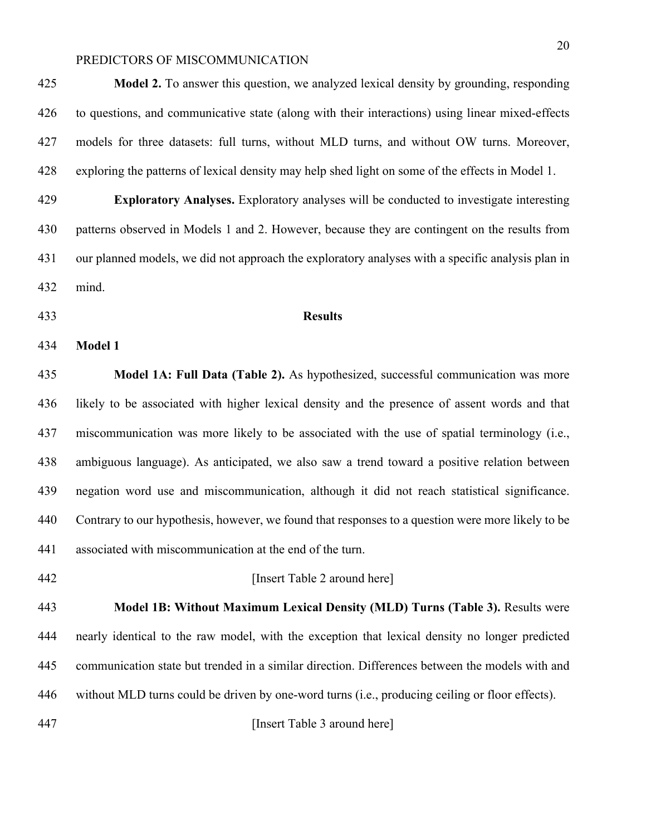**Exploratory Analyses.** Exploratory analyses will be conducted to investigate interesting patterns observed in Models 1 and 2. However, because they are contingent on the results from our planned models, we did not approach the exploratory analyses with a specific analysis plan in

exploring the patterns of lexical density may help shed light on some of the effects in Model 1.

mind.

**Results**

#### **Model 1**

 **Model 1A: Full Data (Table 2).** As hypothesized, successful communication was more likely to be associated with higher lexical density and the presence of assent words and that miscommunication was more likely to be associated with the use of spatial terminology (i.e., ambiguous language). As anticipated, we also saw a trend toward a positive relation between negation word use and miscommunication, although it did not reach statistical significance. Contrary to our hypothesis, however, we found that responses to a question were more likely to be associated with miscommunication at the end of the turn.

#### **Insert Table 2 around here**

 **Model 1B: Without Maximum Lexical Density (MLD) Turns (Table 3).** Results were nearly identical to the raw model, with the exception that lexical density no longer predicted communication state but trended in a similar direction. Differences between the models with and without MLD turns could be driven by one-word turns (i.e., producing ceiling or floor effects).

[Insert Table 3 around here]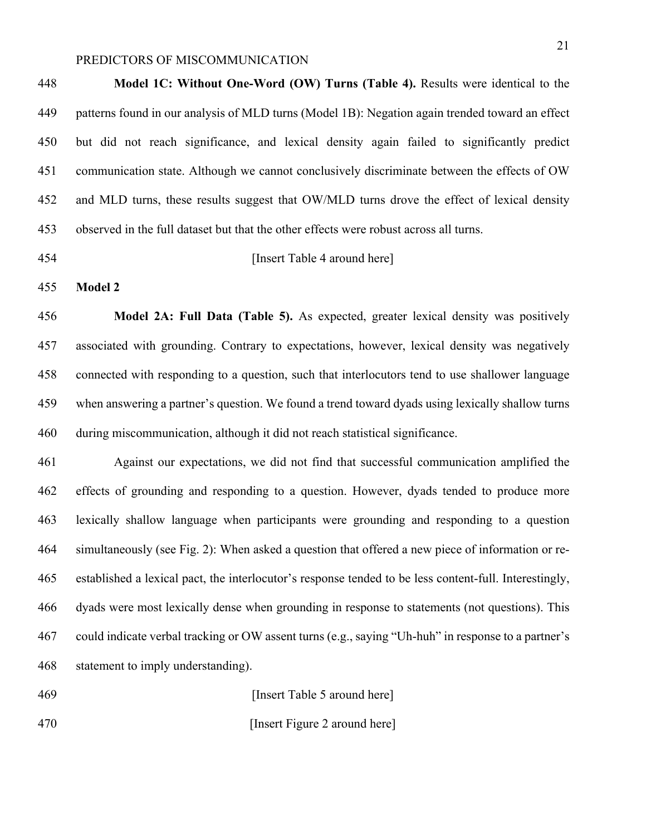**Model 1C: Without One-Word (OW) Turns (Table 4).** Results were identical to the patterns found in our analysis of MLD turns (Model 1B): Negation again trended toward an effect but did not reach significance, and lexical density again failed to significantly predict communication state. Although we cannot conclusively discriminate between the effects of OW and MLD turns, these results suggest that OW/MLD turns drove the effect of lexical density observed in the full dataset but that the other effects were robust across all turns.

#### [Insert Table 4 around here]

**Model 2**

 **Model 2A: Full Data (Table 5).** As expected, greater lexical density was positively associated with grounding. Contrary to expectations, however, lexical density was negatively connected with responding to a question, such that interlocutors tend to use shallower language when answering a partner's question. We found a trend toward dyads using lexically shallow turns during miscommunication, although it did not reach statistical significance.

 Against our expectations, we did not find that successful communication amplified the effects of grounding and responding to a question. However, dyads tended to produce more lexically shallow language when participants were grounding and responding to a question simultaneously (see Fig. 2): When asked a question that offered a new piece of information or re- established a lexical pact, the interlocutor's response tended to be less content-full. Interestingly, dyads were most lexically dense when grounding in response to statements (not questions). This could indicate verbal tracking or OW assent turns (e.g., saying "Uh-huh" in response to a partner's statement to imply understanding).

[Insert Table 5 around here]

**Insert Figure 2 around here**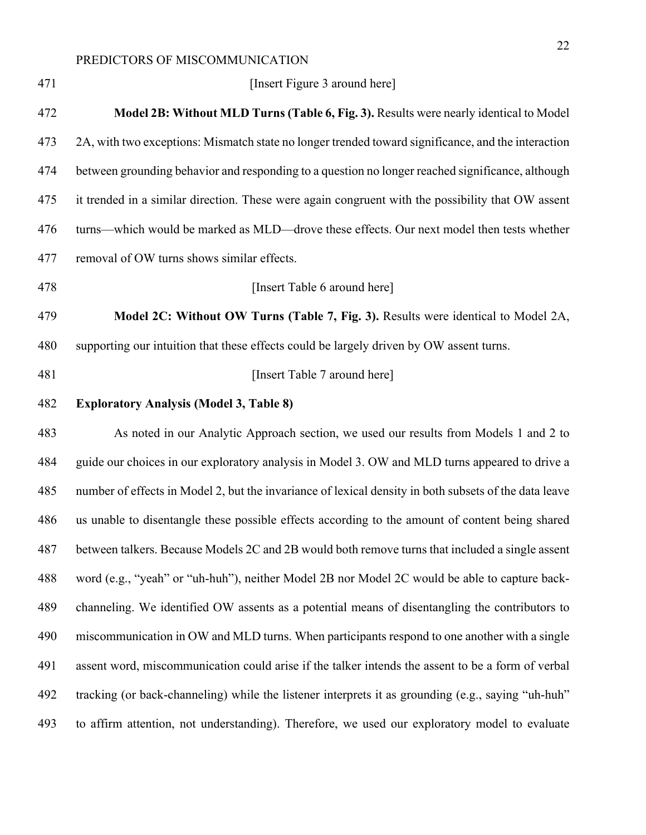| Model 2B: Without MLD Turns (Table 6, Fig. 3). Results were nearly identical to Model<br>2A, with two exceptions: Mismatch state no longer trended toward significance, and the interaction<br>between grounding behavior and responding to a question no longer reached significance, although<br>it trended in a similar direction. These were again congruent with the possibility that OW assent<br>turns—which would be marked as MLD—drove these effects. Our next model then tests whether<br>Model 2C: Without OW Turns (Table 7, Fig. 3). Results were identical to Model 2A,<br>supporting our intuition that these effects could be largely driven by OW assent turns. |
|-----------------------------------------------------------------------------------------------------------------------------------------------------------------------------------------------------------------------------------------------------------------------------------------------------------------------------------------------------------------------------------------------------------------------------------------------------------------------------------------------------------------------------------------------------------------------------------------------------------------------------------------------------------------------------------|
|                                                                                                                                                                                                                                                                                                                                                                                                                                                                                                                                                                                                                                                                                   |
|                                                                                                                                                                                                                                                                                                                                                                                                                                                                                                                                                                                                                                                                                   |
|                                                                                                                                                                                                                                                                                                                                                                                                                                                                                                                                                                                                                                                                                   |
|                                                                                                                                                                                                                                                                                                                                                                                                                                                                                                                                                                                                                                                                                   |
|                                                                                                                                                                                                                                                                                                                                                                                                                                                                                                                                                                                                                                                                                   |
|                                                                                                                                                                                                                                                                                                                                                                                                                                                                                                                                                                                                                                                                                   |
|                                                                                                                                                                                                                                                                                                                                                                                                                                                                                                                                                                                                                                                                                   |
|                                                                                                                                                                                                                                                                                                                                                                                                                                                                                                                                                                                                                                                                                   |
|                                                                                                                                                                                                                                                                                                                                                                                                                                                                                                                                                                                                                                                                                   |
|                                                                                                                                                                                                                                                                                                                                                                                                                                                                                                                                                                                                                                                                                   |
|                                                                                                                                                                                                                                                                                                                                                                                                                                                                                                                                                                                                                                                                                   |
| As noted in our Analytic Approach section, we used our results from Models 1 and 2 to                                                                                                                                                                                                                                                                                                                                                                                                                                                                                                                                                                                             |
| guide our choices in our exploratory analysis in Model 3. OW and MLD turns appeared to drive a                                                                                                                                                                                                                                                                                                                                                                                                                                                                                                                                                                                    |
| number of effects in Model 2, but the invariance of lexical density in both subsets of the data leave                                                                                                                                                                                                                                                                                                                                                                                                                                                                                                                                                                             |
| us unable to disentangle these possible effects according to the amount of content being shared                                                                                                                                                                                                                                                                                                                                                                                                                                                                                                                                                                                   |
| between talkers. Because Models 2C and 2B would both remove turns that included a single assent                                                                                                                                                                                                                                                                                                                                                                                                                                                                                                                                                                                   |
| word (e.g., "yeah" or "uh-huh"), neither Model 2B nor Model 2C would be able to capture back-                                                                                                                                                                                                                                                                                                                                                                                                                                                                                                                                                                                     |
| channeling. We identified OW assents as a potential means of disentangling the contributors to                                                                                                                                                                                                                                                                                                                                                                                                                                                                                                                                                                                    |
| miscommunication in OW and MLD turns. When participants respond to one another with a single                                                                                                                                                                                                                                                                                                                                                                                                                                                                                                                                                                                      |
| assent word, miscommunication could arise if the talker intends the assent to be a form of verbal                                                                                                                                                                                                                                                                                                                                                                                                                                                                                                                                                                                 |
|                                                                                                                                                                                                                                                                                                                                                                                                                                                                                                                                                                                                                                                                                   |
| tracking (or back-channeling) while the listener interprets it as grounding (e.g., saying "uh-huh"                                                                                                                                                                                                                                                                                                                                                                                                                                                                                                                                                                                |
|                                                                                                                                                                                                                                                                                                                                                                                                                                                                                                                                                                                                                                                                                   |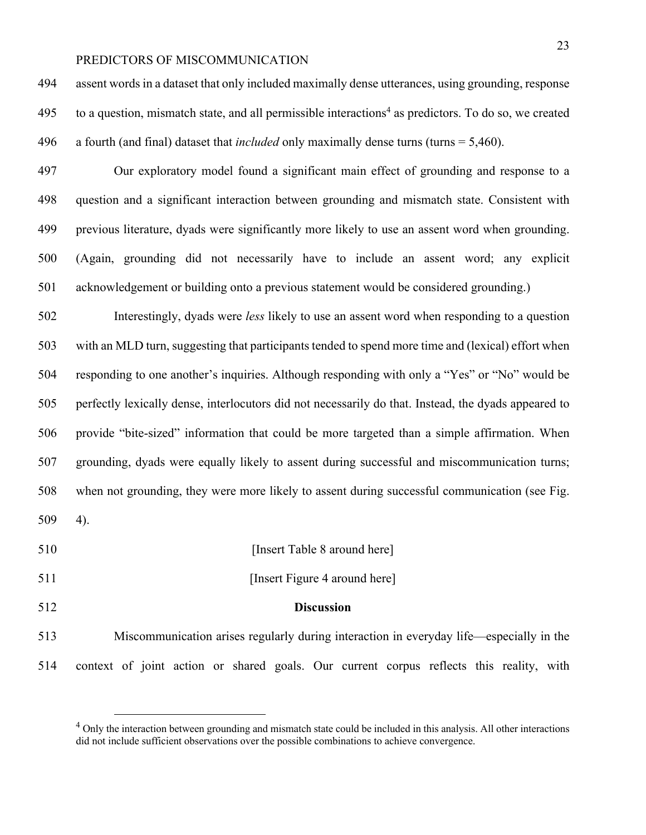assent words in a dataset that only included maximally dense utterances, using grounding, response 495 to a question, mismatch state, and all permissible interactions<sup>4</sup> as predictors. To do so, we created a fourth (and final) dataset that *included* only maximally dense turns (turns = 5,460).

 Our exploratory model found a significant main effect of grounding and response to a question and a significant interaction between grounding and mismatch state. Consistent with previous literature, dyads were significantly more likely to use an assent word when grounding. (Again, grounding did not necessarily have to include an assent word; any explicit acknowledgement or building onto a previous statement would be considered grounding.)

 Interestingly, dyads were *less* likely to use an assent word when responding to a question with an MLD turn, suggesting that participants tended to spend more time and (lexical) effort when responding to one another's inquiries. Although responding with only a "Yes" or "No" would be perfectly lexically dense, interlocutors did not necessarily do that. Instead, the dyads appeared to provide "bite-sized" information that could be more targeted than a simple affirmation. When grounding, dyads were equally likely to assent during successful and miscommunication turns; when not grounding, they were more likely to assent during successful communication (see Fig. 4).

- **Insert Table 8 around here**
- **Insert Figure 4 around here**
- 

#### **Discussion**

 Miscommunication arises regularly during interaction in everyday life—especially in the context of joint action or shared goals. Our current corpus reflects this reality, with

<sup>&</sup>lt;sup>4</sup> Only the interaction between grounding and mismatch state could be included in this analysis. All other interactions did not include sufficient observations over the possible combinations to achieve convergence.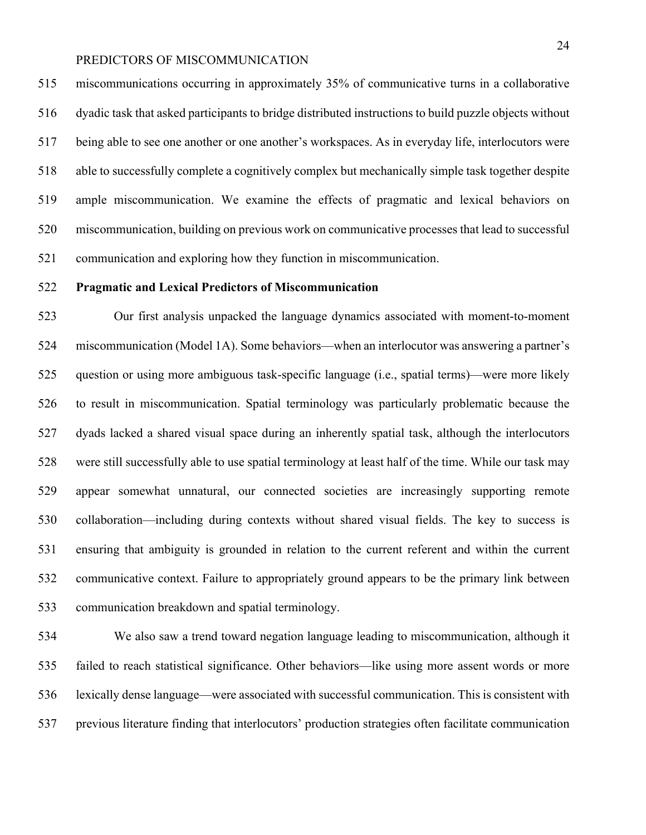miscommunications occurring in approximately 35% of communicative turns in a collaborative dyadic task that asked participants to bridge distributed instructions to build puzzle objects without being able to see one another or one another's workspaces. As in everyday life, interlocutors were able to successfully complete a cognitively complex but mechanically simple task together despite ample miscommunication. We examine the effects of pragmatic and lexical behaviors on miscommunication, building on previous work on communicative processes that lead to successful communication and exploring how they function in miscommunication.

### **Pragmatic and Lexical Predictors of Miscommunication**

 Our first analysis unpacked the language dynamics associated with moment-to-moment miscommunication (Model 1A). Some behaviors—when an interlocutor was answering a partner's question or using more ambiguous task-specific language (i.e., spatial terms)—were more likely to result in miscommunication. Spatial terminology was particularly problematic because the dyads lacked a shared visual space during an inherently spatial task, although the interlocutors were still successfully able to use spatial terminology at least half of the time. While our task may appear somewhat unnatural, our connected societies are increasingly supporting remote collaboration—including during contexts without shared visual fields. The key to success is ensuring that ambiguity is grounded in relation to the current referent and within the current communicative context. Failure to appropriately ground appears to be the primary link between communication breakdown and spatial terminology.

 We also saw a trend toward negation language leading to miscommunication, although it failed to reach statistical significance. Other behaviors—like using more assent words or more lexically dense language—were associated with successful communication. This is consistent with previous literature finding that interlocutors' production strategies often facilitate communication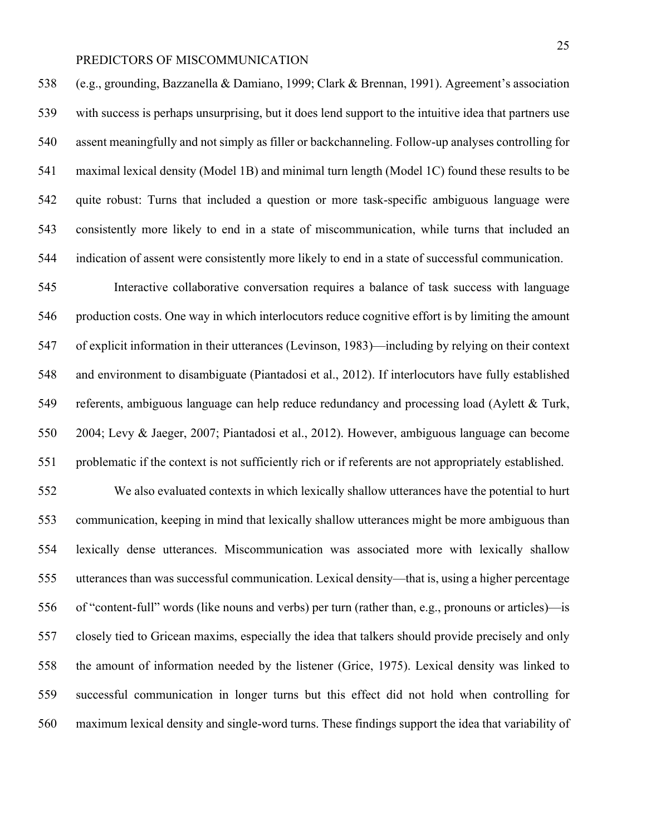(e.g., grounding, Bazzanella & Damiano, 1999; Clark & Brennan, 1991). Agreement's association with success is perhaps unsurprising, but it does lend support to the intuitive idea that partners use assent meaningfully and not simply as filler or backchanneling. Follow-up analyses controlling for maximal lexical density (Model 1B) and minimal turn length (Model 1C) found these results to be quite robust: Turns that included a question or more task-specific ambiguous language were consistently more likely to end in a state of miscommunication, while turns that included an indication of assent were consistently more likely to end in a state of successful communication.

 Interactive collaborative conversation requires a balance of task success with language production costs. One way in which interlocutors reduce cognitive effort is by limiting the amount of explicit information in their utterances (Levinson, 1983)—including by relying on their context and environment to disambiguate (Piantadosi et al., 2012). If interlocutors have fully established referents, ambiguous language can help reduce redundancy and processing load (Aylett & Turk, 2004; Levy & Jaeger, 2007; Piantadosi et al., 2012). However, ambiguous language can become problematic if the context is not sufficiently rich or if referents are not appropriately established.

 We also evaluated contexts in which lexically shallow utterances have the potential to hurt communication, keeping in mind that lexically shallow utterances might be more ambiguous than lexically dense utterances. Miscommunication was associated more with lexically shallow utterances than was successful communication. Lexical density—that is, using a higher percentage of "content-full" words (like nouns and verbs) per turn (rather than, e.g., pronouns or articles)—is closely tied to Gricean maxims, especially the idea that talkers should provide precisely and only the amount of information needed by the listener (Grice, 1975). Lexical density was linked to successful communication in longer turns but this effect did not hold when controlling for maximum lexical density and single-word turns. These findings support the idea that variability of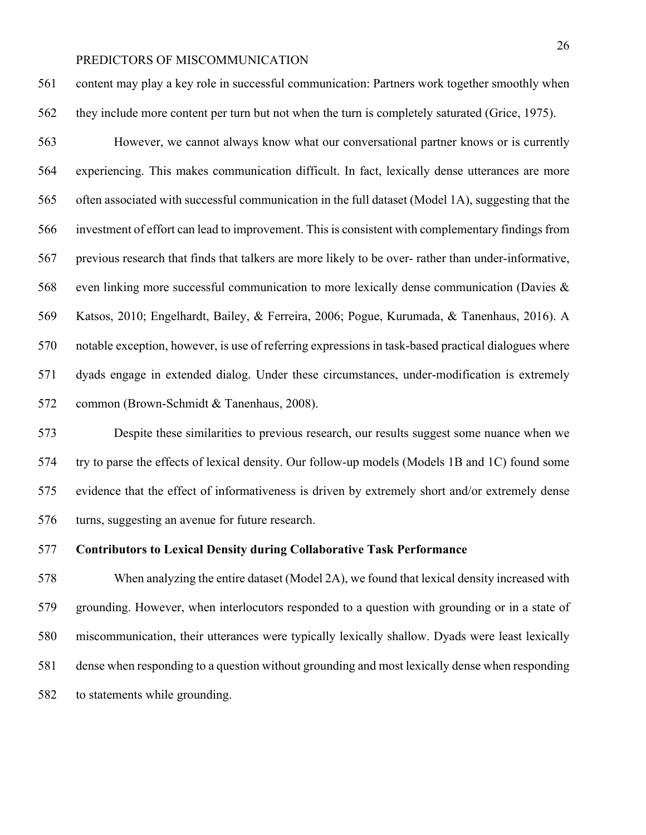content may play a key role in successful communication: Partners work together smoothly when 562 they include more content per turn but not when the turn is completely saturated (Grice, 1975).

 However, we cannot always know what our conversational partner knows or is currently experiencing. This makes communication difficult. In fact, lexically dense utterances are more often associated with successful communication in the full dataset (Model 1A), suggesting that the investment of effort can lead to improvement. This is consistent with complementary findings from previous research that finds that talkers are more likely to be over- rather than under-informative, even linking more successful communication to more lexically dense communication (Davies & Katsos, 2010; Engelhardt, Bailey, & Ferreira, 2006; Pogue, Kurumada, & Tanenhaus, 2016). A notable exception, however, is use of referring expressions in task-based practical dialogues where dyads engage in extended dialog. Under these circumstances, under-modification is extremely common (Brown-Schmidt & Tanenhaus, 2008).

 Despite these similarities to previous research, our results suggest some nuance when we try to parse the effects of lexical density. Our follow-up models (Models 1B and 1C) found some evidence that the effect of informativeness is driven by extremely short and/or extremely dense turns, suggesting an avenue for future research.

#### **Contributors to Lexical Density during Collaborative Task Performance**

 When analyzing the entire dataset (Model 2A), we found that lexical density increased with grounding. However, when interlocutors responded to a question with grounding or in a state of miscommunication, their utterances were typically lexically shallow. Dyads were least lexically dense when responding to a question without grounding and most lexically dense when responding to statements while grounding.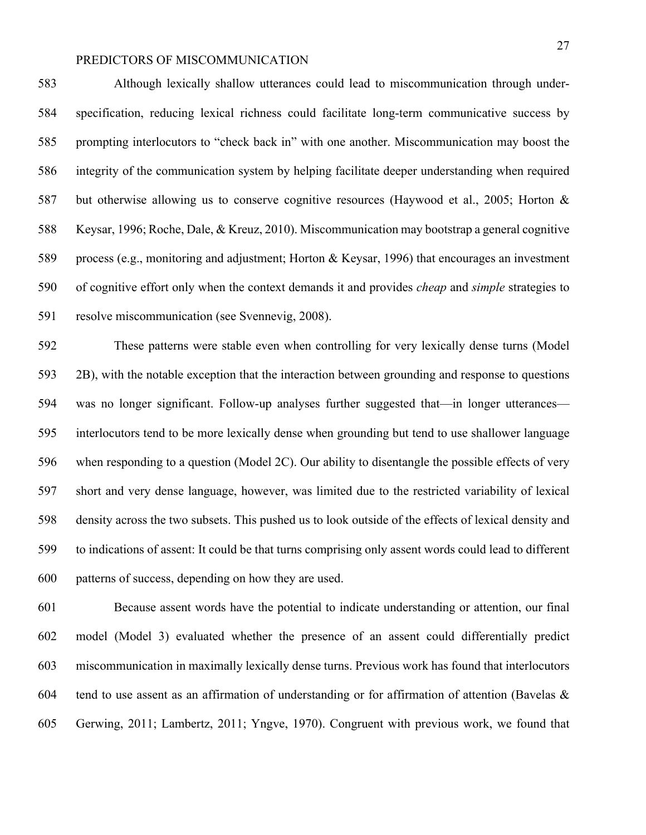Although lexically shallow utterances could lead to miscommunication through under- specification, reducing lexical richness could facilitate long-term communicative success by prompting interlocutors to "check back in" with one another. Miscommunication may boost the integrity of the communication system by helping facilitate deeper understanding when required but otherwise allowing us to conserve cognitive resources (Haywood et al., 2005; Horton & Keysar, 1996; Roche, Dale, & Kreuz, 2010). Miscommunication may bootstrap a general cognitive process (e.g., monitoring and adjustment; Horton & Keysar, 1996) that encourages an investment of cognitive effort only when the context demands it and provides *cheap* and *simple* strategies to resolve miscommunication (see Svennevig, 2008).

 These patterns were stable even when controlling for very lexically dense turns (Model 2B), with the notable exception that the interaction between grounding and response to questions was no longer significant. Follow-up analyses further suggested that—in longer utterances— interlocutors tend to be more lexically dense when grounding but tend to use shallower language when responding to a question (Model 2C). Our ability to disentangle the possible effects of very short and very dense language, however, was limited due to the restricted variability of lexical density across the two subsets. This pushed us to look outside of the effects of lexical density and to indications of assent: It could be that turns comprising only assent words could lead to different patterns of success, depending on how they are used.

 Because assent words have the potential to indicate understanding or attention, our final model (Model 3) evaluated whether the presence of an assent could differentially predict miscommunication in maximally lexically dense turns. Previous work has found that interlocutors 604 tend to use assent as an affirmation of understanding or for affirmation of attention (Bavelas  $\&$ Gerwing, 2011; Lambertz, 2011; Yngve, 1970). Congruent with previous work, we found that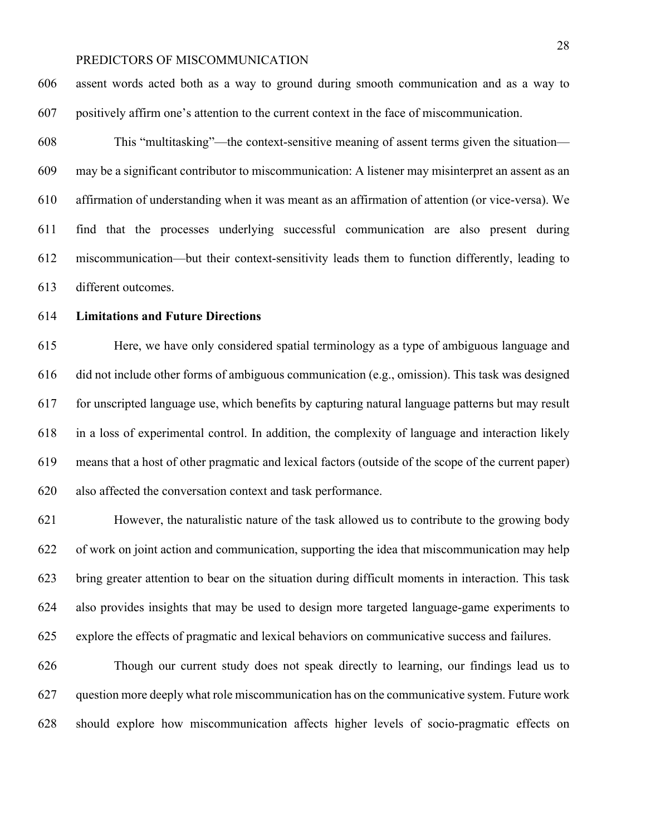assent words acted both as a way to ground during smooth communication and as a way to positively affirm one's attention to the current context in the face of miscommunication.

 This "multitasking"—the context-sensitive meaning of assent terms given the situation— may be a significant contributor to miscommunication: A listener may misinterpret an assent as an affirmation of understanding when it was meant as an affirmation of attention (or vice-versa). We find that the processes underlying successful communication are also present during miscommunication—but their context-sensitivity leads them to function differently, leading to different outcomes.

#### **Limitations and Future Directions**

 Here, we have only considered spatial terminology as a type of ambiguous language and did not include other forms of ambiguous communication (e.g., omission). This task was designed for unscripted language use, which benefits by capturing natural language patterns but may result in a loss of experimental control. In addition, the complexity of language and interaction likely means that a host of other pragmatic and lexical factors (outside of the scope of the current paper) also affected the conversation context and task performance.

 However, the naturalistic nature of the task allowed us to contribute to the growing body of work on joint action and communication, supporting the idea that miscommunication may help bring greater attention to bear on the situation during difficult moments in interaction. This task also provides insights that may be used to design more targeted language-game experiments to explore the effects of pragmatic and lexical behaviors on communicative success and failures.

 Though our current study does not speak directly to learning, our findings lead us to question more deeply what role miscommunication has on the communicative system. Future work should explore how miscommunication affects higher levels of socio-pragmatic effects on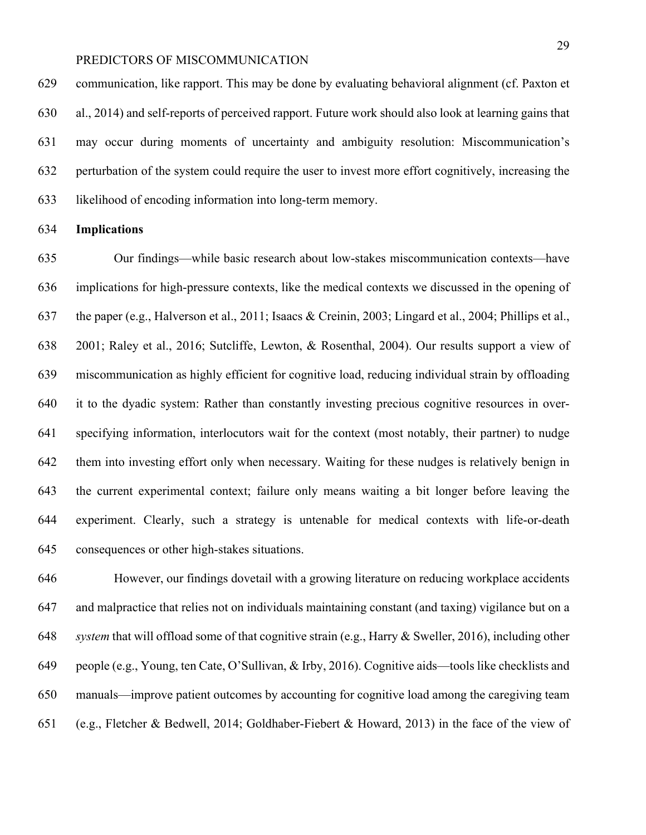communication, like rapport. This may be done by evaluating behavioral alignment (cf. Paxton et al., 2014) and self-reports of perceived rapport. Future work should also look at learning gains that may occur during moments of uncertainty and ambiguity resolution: Miscommunication's perturbation of the system could require the user to invest more effort cognitively, increasing the likelihood of encoding information into long-term memory.

#### **Implications**

 Our findings—while basic research about low-stakes miscommunication contexts—have implications for high-pressure contexts, like the medical contexts we discussed in the opening of the paper (e.g., Halverson et al., 2011; Isaacs & Creinin, 2003; Lingard et al., 2004; Phillips et al., 2001; Raley et al., 2016; Sutcliffe, Lewton, & Rosenthal, 2004). Our results support a view of miscommunication as highly efficient for cognitive load, reducing individual strain by offloading it to the dyadic system: Rather than constantly investing precious cognitive resources in over- specifying information, interlocutors wait for the context (most notably, their partner) to nudge them into investing effort only when necessary. Waiting for these nudges is relatively benign in the current experimental context; failure only means waiting a bit longer before leaving the experiment. Clearly, such a strategy is untenable for medical contexts with life-or-death consequences or other high-stakes situations.

 However, our findings dovetail with a growing literature on reducing workplace accidents and malpractice that relies not on individuals maintaining constant (and taxing) vigilance but on a *system* that will offload some of that cognitive strain (e.g., Harry & Sweller, 2016), including other people (e.g., Young, ten Cate, O'Sullivan, & Irby, 2016). Cognitive aids—tools like checklists and manuals—improve patient outcomes by accounting for cognitive load among the caregiving team (e.g., Fletcher & Bedwell, 2014; Goldhaber-Fiebert & Howard, 2013) in the face of the view of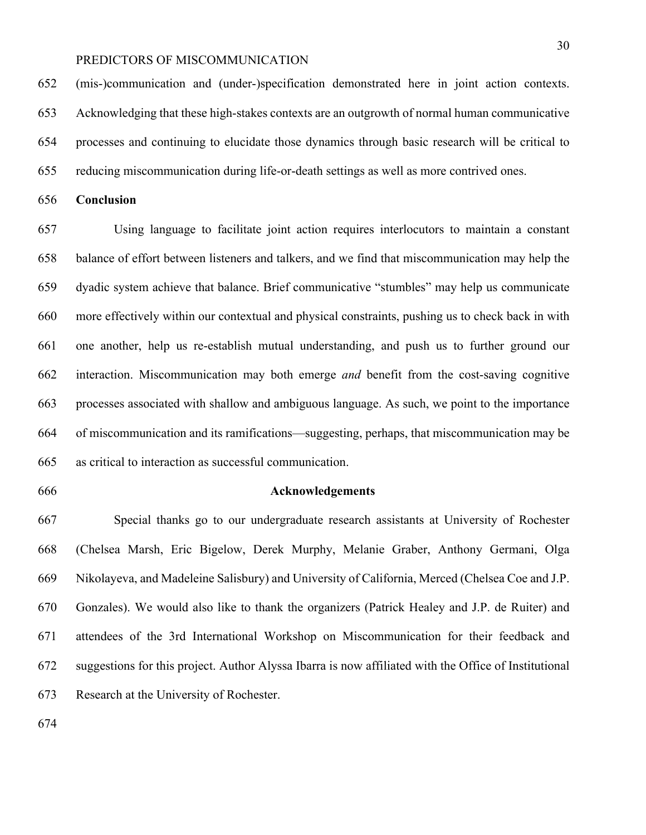(mis-)communication and (under-)specification demonstrated here in joint action contexts. Acknowledging that these high-stakes contexts are an outgrowth of normal human communicative processes and continuing to elucidate those dynamics through basic research will be critical to reducing miscommunication during life-or-death settings as well as more contrived ones.

**Conclusion**

 Using language to facilitate joint action requires interlocutors to maintain a constant balance of effort between listeners and talkers, and we find that miscommunication may help the dyadic system achieve that balance. Brief communicative "stumbles" may help us communicate more effectively within our contextual and physical constraints, pushing us to check back in with one another, help us re-establish mutual understanding, and push us to further ground our interaction. Miscommunication may both emerge *and* benefit from the cost-saving cognitive processes associated with shallow and ambiguous language. As such, we point to the importance of miscommunication and its ramifications—suggesting, perhaps, that miscommunication may be as critical to interaction as successful communication.

#### **Acknowledgements**

 Special thanks go to our undergraduate research assistants at University of Rochester (Chelsea Marsh, Eric Bigelow, Derek Murphy, Melanie Graber, Anthony Germani, Olga Nikolayeva, and Madeleine Salisbury) and University of California, Merced (Chelsea Coe and J.P. Gonzales). We would also like to thank the organizers (Patrick Healey and J.P. de Ruiter) and attendees of the 3rd International Workshop on Miscommunication for their feedback and suggestions for this project. Author Alyssa Ibarra is now affiliated with the Office of Institutional Research at the University of Rochester.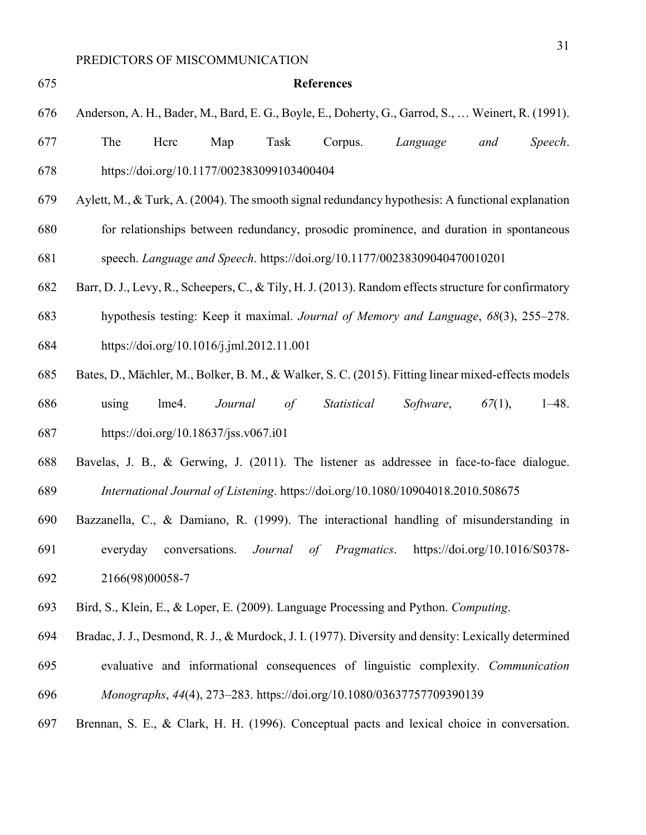- **References** Anderson, A. H., Bader, M., Bard, E. G., Boyle, E., Doherty, G., Garrod, S., … Weinert, R. (1991). The Hcrc Map Task Corpus. *Language and Speech*. https://doi.org/10.1177/002383099103400404 Aylett, M., & Turk, A. (2004). The smooth signal redundancy hypothesis: A functional explanation for relationships between redundancy, prosodic prominence, and duration in spontaneous speech. *Language and Speech*. https://doi.org/10.1177/00238309040470010201 Barr, D. J., Levy, R., Scheepers, C., & Tily, H. J. (2013). Random effects structure for confirmatory hypothesis testing: Keep it maximal. *Journal of Memory and Language*, *68*(3), 255–278. https://doi.org/10.1016/j.jml.2012.11.001 Bates, D., Mächler, M., Bolker, B. M., & Walker, S. C. (2015). Fitting linear mixed-effects models using lme4. *Journal of Statistical Software*, *67*(1), 1–48. https://doi.org/10.18637/jss.v067.i01
- Bavelas, J. B., & Gerwing, J. (2011). The listener as addressee in face-to-face dialogue. *International Journal of Listening*. https://doi.org/10.1080/10904018.2010.508675
- Bazzanella, C., & Damiano, R. (1999). The interactional handling of misunderstanding in everyday conversations. *Journal of Pragmatics*. https://doi.org/10.1016/S0378- 2166(98)00058-7
- Bird, S., Klein, E., & Loper, E. (2009). Language Processing and Python. *Computing*.
- Bradac, J. J., Desmond, R. J., & Murdock, J. I. (1977). Diversity and density: Lexically determined
- evaluative and informational consequences of linguistic complexity. *Communication*
- *Monographs*, *44*(4), 273–283. https://doi.org/10.1080/03637757709390139
- Brennan, S. E., & Clark, H. H. (1996). Conceptual pacts and lexical choice in conversation.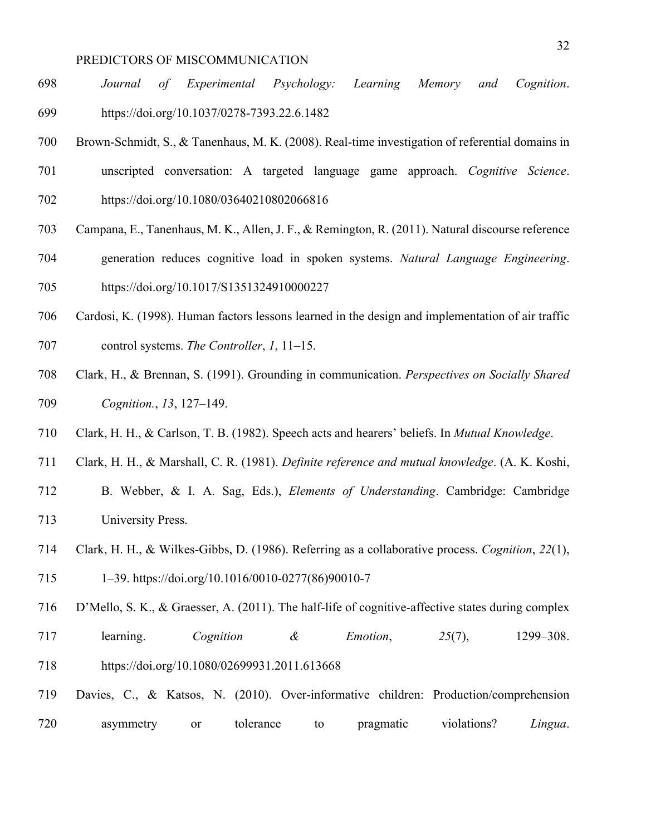- *Journal of Experimental Psychology: Learning Memory and Cognition*. https://doi.org/10.1037/0278-7393.22.6.1482
- Brown-Schmidt, S., & Tanenhaus, M. K. (2008). Real-time investigation of referential domains in
- unscripted conversation: A targeted language game approach. *Cognitive Science*.
- https://doi.org/10.1080/03640210802066816
- Campana, E., Tanenhaus, M. K., Allen, J. F., & Remington, R. (2011). Natural discourse reference
- generation reduces cognitive load in spoken systems. *Natural Language Engineering*. https://doi.org/10.1017/S1351324910000227
- Cardosi, K. (1998). Human factors lessons learned in the design and implementation of air traffic
- control systems. *The Controller*, *1*, 11–15.
- Clark, H., & Brennan, S. (1991). Grounding in communication. *Perspectives on Socially Shared Cognition.*, *13*, 127–149.
- Clark, H. H., & Carlson, T. B. (1982). Speech acts and hearers' beliefs. In *Mutual Knowledge*.
- Clark, H. H., & Marshall, C. R. (1981). *Definite reference and mutual knowledge*. (A. K. Koshi,
- B. Webber, & I. A. Sag, Eds.), *Elements of Understanding*. Cambridge: Cambridge University Press.
- Clark, H. H., & Wilkes-Gibbs, D. (1986). Referring as a collaborative process. *Cognition*, *22*(1), 1–39. https://doi.org/10.1016/0010-0277(86)90010-7
- D'Mello, S. K., & Graesser, A. (2011). The half-life of cognitive-affective states during complex
- learning. *Cognition & Emotion*, *25*(7), 1299–308. https://doi.org/10.1080/02699931.2011.613668
- Davies, C., & Katsos, N. (2010). Over-informative children: Production/comprehension asymmetry or tolerance to pragmatic violations? *Lingua*.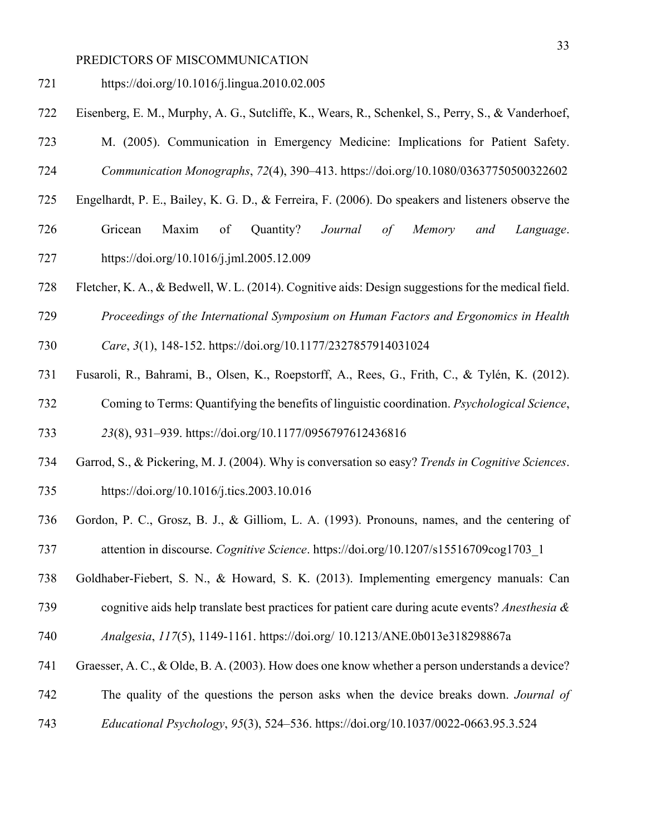- https://doi.org/10.1016/j.lingua.2010.02.005
- Eisenberg, E. M., Murphy, A. G., Sutcliffe, K., Wears, R., Schenkel, S., Perry, S., & Vanderhoef,
- M. (2005). Communication in Emergency Medicine: Implications for Patient Safety. *Communication Monographs*, *72*(4), 390–413. https://doi.org/10.1080/03637750500322602
- Engelhardt, P. E., Bailey, K. G. D., & Ferreira, F. (2006). Do speakers and listeners observe the
- Gricean Maxim of Quantity? *Journal of Memory and Language*. https://doi.org/10.1016/j.jml.2005.12.009
- Fletcher, K. A., & Bedwell, W. L. (2014). Cognitive aids: Design suggestions for the medical field.
- *Proceedings of the International Symposium on Human Factors and Ergonomics in Health*
- *Care*, *3*(1), 148-152. https://doi.org/10.1177/2327857914031024
- Fusaroli, R., Bahrami, B., Olsen, K., Roepstorff, A., Rees, G., Frith, C., & Tylén, K. (2012). Coming to Terms: Quantifying the benefits of linguistic coordination. *Psychological Science*,

*23*(8), 931–939. https://doi.org/10.1177/0956797612436816

- Garrod, S., & Pickering, M. J. (2004). Why is conversation so easy? *Trends in Cognitive Sciences*. https://doi.org/10.1016/j.tics.2003.10.016
- Gordon, P. C., Grosz, B. J., & Gilliom, L. A. (1993). Pronouns, names, and the centering of attention in discourse. *Cognitive Science*. https://doi.org/10.1207/s15516709cog1703\_1
- Goldhaber-Fiebert, S. N., & Howard, S. K. (2013). Implementing emergency manuals: Can
- cognitive aids help translate best practices for patient care during acute events? *Anesthesia &*
- *Analgesia*, *117*(5), 1149-1161. https://doi.org/ 10.1213/ANE.0b013e318298867a
- Graesser, A. C., & Olde, B. A. (2003). How does one know whether a person understands a device?
- The quality of the questions the person asks when the device breaks down. *Journal of*
- *Educational Psychology*, *95*(3), 524–536. https://doi.org/10.1037/0022-0663.95.3.524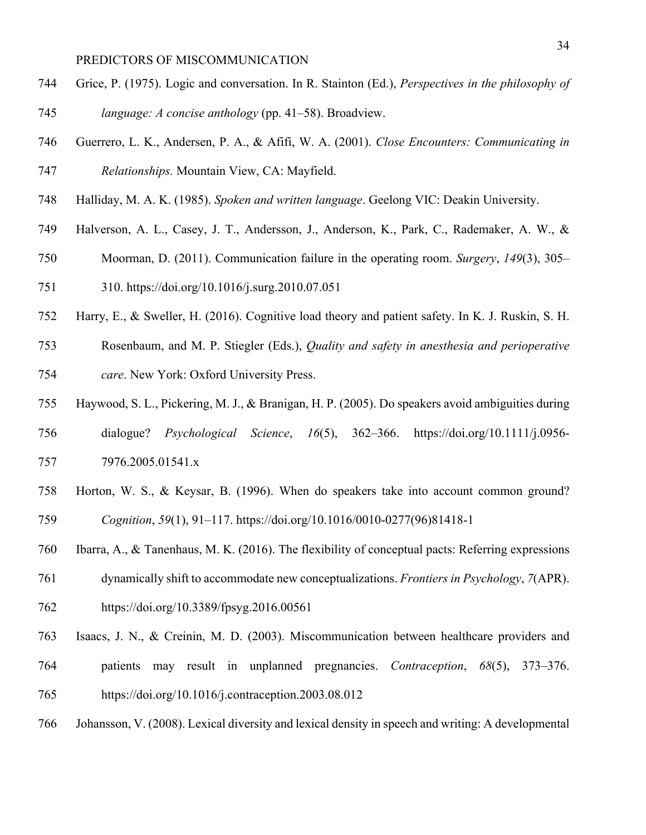- Grice, P. (1975). Logic and conversation. In R. Stainton (Ed.), *Perspectives in the philosophy of language: A concise anthology* (pp. 41–58). Broadview.
- Guerrero, L. K., Andersen, P. A., & Afifi, W. A. (2001). *Close Encounters: Communicating in Relationships.* Mountain View, CA: Mayfield.
- Halliday, M. A. K. (1985). *Spoken and written language*. Geelong VIC: Deakin University.
- Halverson, A. L., Casey, J. T., Andersson, J., Anderson, K., Park, C., Rademaker, A. W., &
- Moorman, D. (2011). Communication failure in the operating room. *Surgery*, *149*(3), 305–
- 310. https://doi.org/10.1016/j.surg.2010.07.051
- Harry, E., & Sweller, H. (2016). Cognitive load theory and patient safety. In K. J. Ruskin, S. H.
- Rosenbaum, and M. P. Stiegler (Eds.), *Quality and safety in anesthesia and perioperative care*. New York: Oxford University Press.
- Haywood, S. L., Pickering, M. J., & Branigan, H. P. (2005). Do speakers avoid ambiguities during
- dialogue? *Psychological Science*, *16*(5), 362–366. https://doi.org/10.1111/j.0956- 7976.2005.01541.x
- Horton, W. S., & Keysar, B. (1996). When do speakers take into account common ground? *Cognition*, *59*(1), 91–117. https://doi.org/10.1016/0010-0277(96)81418-1
- Ibarra, A., & Tanenhaus, M. K. (2016). The flexibility of conceptual pacts: Referring expressions
- dynamically shift to accommodate new conceptualizations. *Frontiers in Psychology*, *7*(APR).
- https://doi.org/10.3389/fpsyg.2016.00561
- Isaacs, J. N., & Creinin, M. D. (2003). Miscommunication between healthcare providers and patients may result in unplanned pregnancies. *Contraception*, *68*(5), 373–376. https://doi.org/10.1016/j.contraception.2003.08.012
- Johansson, V. (2008). Lexical diversity and lexical density in speech and writing: A developmental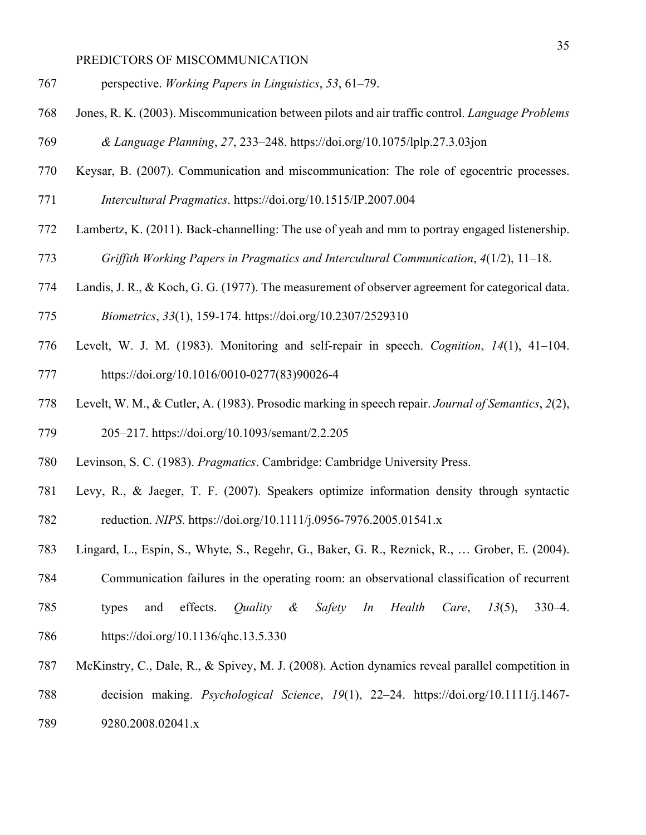- perspective. *Working Papers in Linguistics*, *53*, 61–79.
- Jones, R. K. (2003). Miscommunication between pilots and air traffic control. *Language Problems*
- *& Language Planning*, *27*, 233–248. https://doi.org/10.1075/lplp.27.3.03jon
- Keysar, B. (2007). Communication and miscommunication: The role of egocentric processes.
- *Intercultural Pragmatics*. https://doi.org/10.1515/IP.2007.004
- Lambertz, K. (2011). Back-channelling: The use of yeah and mm to portray engaged listenership.
- *Griffith Working Papers in Pragmatics and Intercultural Communication*, *4*(1/2), 11–18.
- Landis, J. R., & Koch, G. G. (1977). The measurement of observer agreement for categorical data.
- *Biometrics*, *33*(1), 159-174. https://doi.org/10.2307/2529310
- Levelt, W. J. M. (1983). Monitoring and self-repair in speech. *Cognition*, *14*(1), 41–104. https://doi.org/10.1016/0010-0277(83)90026-4
- Levelt, W. M., & Cutler, A. (1983). Prosodic marking in speech repair. *Journal of Semantics*, *2*(2), 205–217. https://doi.org/10.1093/semant/2.2.205
- Levinson, S. C. (1983). *Pragmatics*. Cambridge: Cambridge University Press.
- Levy, R., & Jaeger, T. F. (2007). Speakers optimize information density through syntactic reduction. *NIPS*. https://doi.org/10.1111/j.0956-7976.2005.01541.x
- Lingard, L., Espin, S., Whyte, S., Regehr, G., Baker, G. R., Reznick, R., … Grober, E. (2004).

Communication failures in the operating room: an observational classification of recurrent

- types and effects. *Quality & Safety In Health Care*, *13*(5), 330–4. https://doi.org/10.1136/qhc.13.5.330
- McKinstry, C., Dale, R., & Spivey, M. J. (2008). Action dynamics reveal parallel competition in
- decision making. *Psychological Science*, *19*(1), 22–24. https://doi.org/10.1111/j.1467-
- 9280.2008.02041.x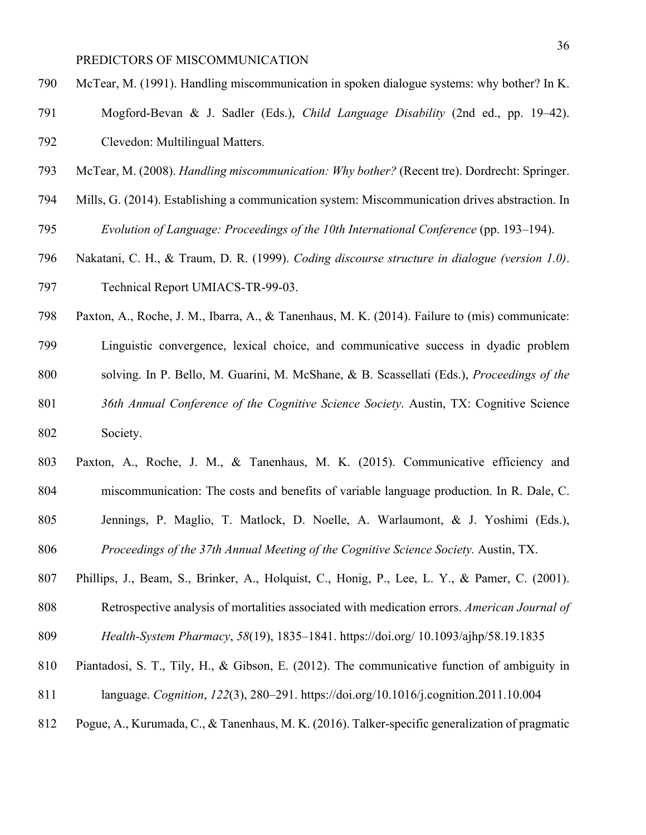- McTear, M. (1991). Handling miscommunication in spoken dialogue systems: why bother? In K.
- Mogford-Bevan & J. Sadler (Eds.), *Child Language Disability* (2nd ed., pp. 19–42). Clevedon: Multilingual Matters.
- McTear, M. (2008). *Handling miscommunication: Why bother?* (Recent tre). Dordrecht: Springer.
- Mills, G. (2014). Establishing a communication system: Miscommunication drives abstraction. In *Evolution of Language: Proceedings of the 10th International Conference* (pp. 193–194).
- Nakatani, C. H., & Traum, D. R. (1999). *Coding discourse structure in dialogue (version 1.0)*. Technical Report UMIACS-TR-99-03.
- Paxton, A., Roche, J. M., Ibarra, A., & Tanenhaus, M. K. (2014). Failure to (mis) communicate:
- Linguistic convergence, lexical choice, and communicative success in dyadic problem
- solving. In P. Bello, M. Guarini, M. McShane, & B. Scassellati (Eds.), *Proceedings of the*
- *36th Annual Conference of the Cognitive Science Society*. Austin, TX: Cognitive Science Society.
- Paxton, A., Roche, J. M., & Tanenhaus, M. K. (2015). Communicative efficiency and
- miscommunication: The costs and benefits of variable language production. In R. Dale, C.
- Jennings, P. Maglio, T. Matlock, D. Noelle, A. Warlaumont, & J. Yoshimi (Eds.),
- *Proceedings of the 37th Annual Meeting of the Cognitive Science Society.* Austin, TX.
- Phillips, J., Beam, S., Brinker, A., Holquist, C., Honig, P., Lee, L. Y., & Pamer, C. (2001).
- Retrospective analysis of mortalities associated with medication errors. *American Journal of*
- *Health-System Pharmacy*, *58*(19), 1835–1841. https://doi.org/ 10.1093/ajhp/58.19.1835
- Piantadosi, S. T., Tily, H., & Gibson, E. (2012). The communicative function of ambiguity in
- language. *Cognition*, *122*(3), 280–291. https://doi.org/10.1016/j.cognition.2011.10.004
- Pogue, A., Kurumada, C., & Tanenhaus, M. K. (2016). Talker-specific generalization of pragmatic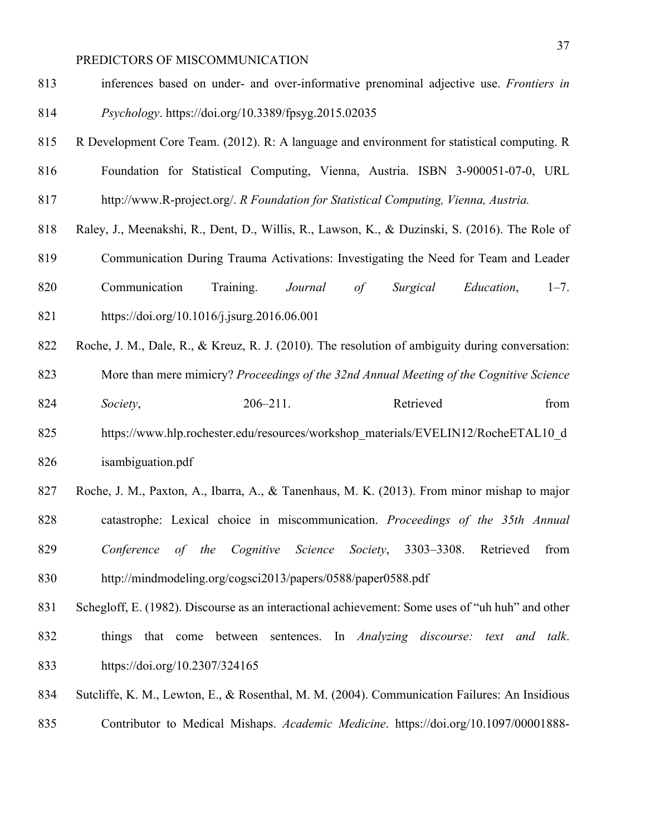inferences based on under- and over-informative prenominal adjective use. *Frontiers in Psychology*. https://doi.org/10.3389/fpsyg.2015.02035

- R Development Core Team. (2012). R: A language and environment for statistical computing. R
- Foundation for Statistical Computing, Vienna, Austria. ISBN 3-900051-07-0, URL
- http://www.R-project.org/. *R Foundation for Statistical Computing, Vienna, Austria.*
- Raley, J., Meenakshi, R., Dent, D., Willis, R., Lawson, K., & Duzinski, S. (2016). The Role of
- Communication During Trauma Activations: Investigating the Need for Team and Leader
- Communication Training. *Journal of Surgical Education*, 1–7. https://doi.org/10.1016/j.jsurg.2016.06.001
- 822 Roche, J. M., Dale, R., & Kreuz, R. J. (2010). The resolution of ambiguity during conversation:

More than mere mimicry? *Proceedings of the 32nd Annual Meeting of the Cognitive Science* 

- *Society*, 206–211. Retrieved from
- 825 https://www.hlp.rochester.edu/resources/workshop\_materials/EVELIN12/RocheETAL10\_d isambiguation.pdf
- Roche, J. M., Paxton, A., Ibarra, A., & Tanenhaus, M. K. (2013). From minor mishap to major catastrophe: Lexical choice in miscommunication. *Proceedings of the 35th Annual Conference of the Cognitive Science Society*, 3303–3308. Retrieved from http://mindmodeling.org/cogsci2013/papers/0588/paper0588.pdf
- Schegloff, E. (1982). Discourse as an interactional achievement: Some uses of "uh huh" and other things that come between sentences. In *Analyzing discourse: text and talk*. https://doi.org/10.2307/324165
- Sutcliffe, K. M., Lewton, E., & Rosenthal, M. M. (2004). Communication Failures: An Insidious
- Contributor to Medical Mishaps. *Academic Medicine*. https://doi.org/10.1097/00001888-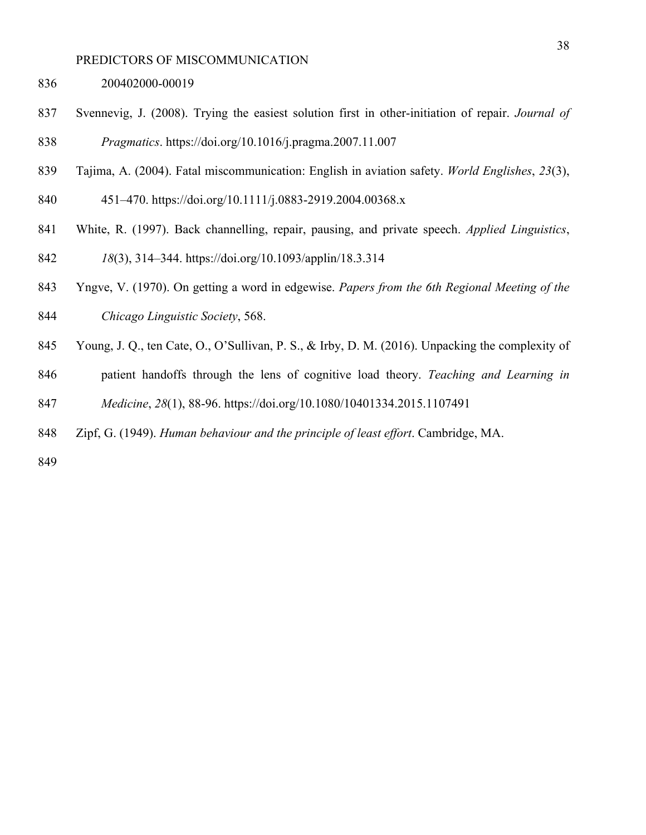- 200402000-00019
- Svennevig, J. (2008). Trying the easiest solution first in other-initiation of repair. *Journal of Pragmatics*. https://doi.org/10.1016/j.pragma.2007.11.007
- Tajima, A. (2004). Fatal miscommunication: English in aviation safety. *World Englishes*, *23*(3),
- 451–470. https://doi.org/10.1111/j.0883-2919.2004.00368.x
- White, R. (1997). Back channelling, repair, pausing, and private speech. *Applied Linguistics*,
- *18*(3), 314–344. https://doi.org/10.1093/applin/18.3.314
- Yngve, V. (1970). On getting a word in edgewise. *Papers from the 6th Regional Meeting of the Chicago Linguistic Society*, 568.
- Young, J. Q., ten Cate, O., O'Sullivan, P. S., & Irby, D. M. (2016). Unpacking the complexity of
- patient handoffs through the lens of cognitive load theory. *Teaching and Learning in Medicine*, *28*(1), 88-96. https://doi.org/10.1080/10401334.2015.1107491
- Zipf, G. (1949). *Human behaviour and the principle of least effort*. Cambridge, MA.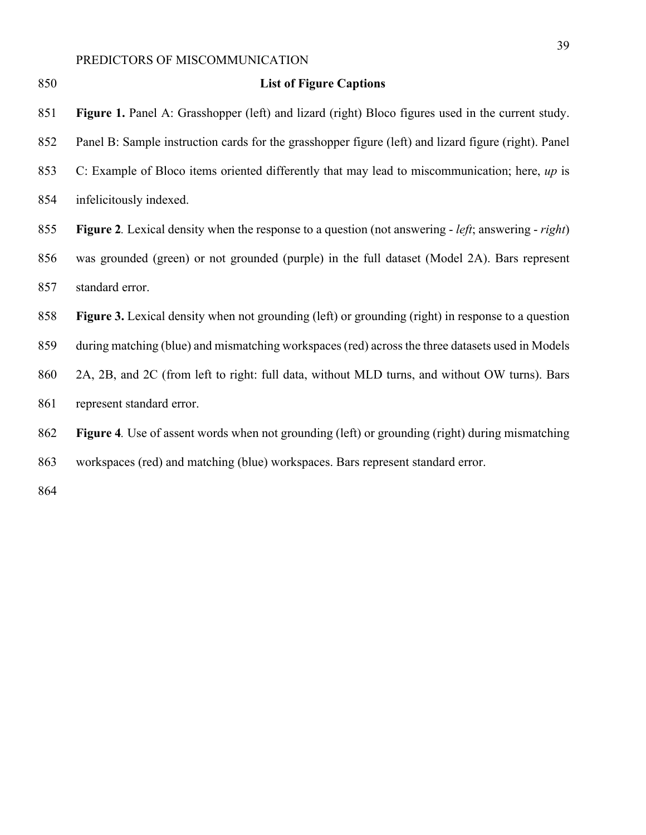| 850 | <b>List of Figure Captions</b>                                                                                             |
|-----|----------------------------------------------------------------------------------------------------------------------------|
| 851 | Figure 1. Panel A: Grasshopper (left) and lizard (right) Bloco figures used in the current study.                          |
| 852 | Panel B: Sample instruction cards for the grasshopper figure (left) and lizard figure (right). Panel                       |
| 853 | C: Example of Bloco items oriented differently that may lead to miscommunication; here, up is                              |
| 854 | infelicitously indexed.                                                                                                    |
| 855 | <b>Figure 2.</b> Lexical density when the response to a question (not answering - <i>left</i> ; answering - <i>right</i> ) |
| 856 | was grounded (green) or not grounded (purple) in the full dataset (Model 2A). Bars represent                               |
| 857 | standard error.                                                                                                            |
| 858 | <b>Figure 3.</b> Lexical density when not grounding (left) or grounding (right) in response to a question                  |
| 859 | during matching (blue) and mismatching workspaces (red) across the three datasets used in Models                           |
| 860 | 2A, 2B, and 2C (from left to right: full data, without MLD turns, and without OW turns). Bars                              |
| 861 | represent standard error.                                                                                                  |
| 862 | Figure 4. Use of assent words when not grounding (left) or grounding (right) during mismatching                            |
| 863 | workspaces (red) and matching (blue) workspaces. Bars represent standard error.                                            |
| 864 |                                                                                                                            |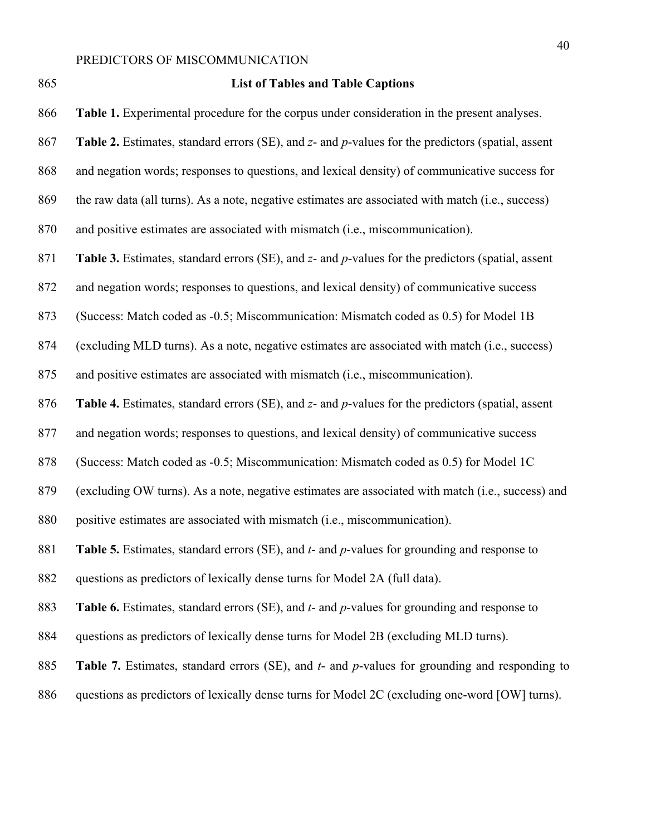#### **List of Tables and Table Captions**

**Table 1.** Experimental procedure for the corpus under consideration in the present analyses.

**Table 2.** Estimates, standard errors (SE), and *z*- and *p*-values for the predictors (spatial, assent

and negation words; responses to questions, and lexical density) of communicative success for

the raw data (all turns). As a note, negative estimates are associated with match (i.e., success)

and positive estimates are associated with mismatch (i.e., miscommunication).

**Table 3.** Estimates, standard errors (SE), and *z*- and *p*-values for the predictors (spatial, assent

and negation words; responses to questions, and lexical density) of communicative success

(Success: Match coded as -0.5; Miscommunication: Mismatch coded as 0.5) for Model 1B

(excluding MLD turns). As a note, negative estimates are associated with match (i.e., success)

and positive estimates are associated with mismatch (i.e., miscommunication).

**Table 4.** Estimates, standard errors (SE), and *z*- and *p*-values for the predictors (spatial, assent

and negation words; responses to questions, and lexical density) of communicative success

(Success: Match coded as -0.5; Miscommunication: Mismatch coded as 0.5) for Model 1C

(excluding OW turns). As a note, negative estimates are associated with match (i.e., success) and

positive estimates are associated with mismatch (i.e., miscommunication).

**Table 5.** Estimates, standard errors (SE), and *t*- and *p*-values for grounding and response to

questions as predictors of lexically dense turns for Model 2A (full data).

**Table 6.** Estimates, standard errors (SE), and *t*- and *p*-values for grounding and response to

- questions as predictors of lexically dense turns for Model 2B (excluding MLD turns).
- **Table 7.** Estimates, standard errors (SE), and *t* and *p*-values for grounding and responding to
- questions as predictors of lexically dense turns for Model 2C (excluding one-word [OW] turns).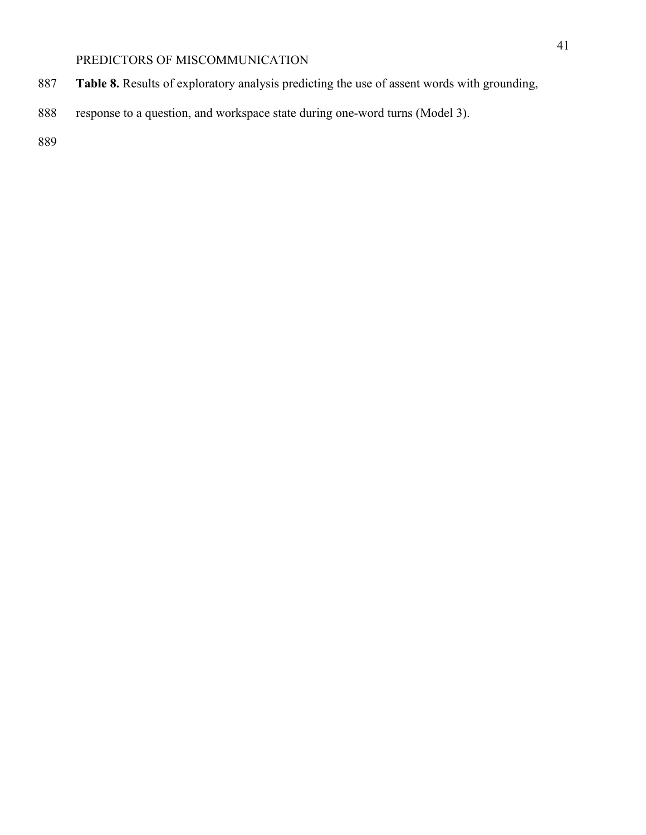- **Table 8.** Results of exploratory analysis predicting the use of assent words with grounding,
- response to a question, and workspace state during one-word turns (Model 3).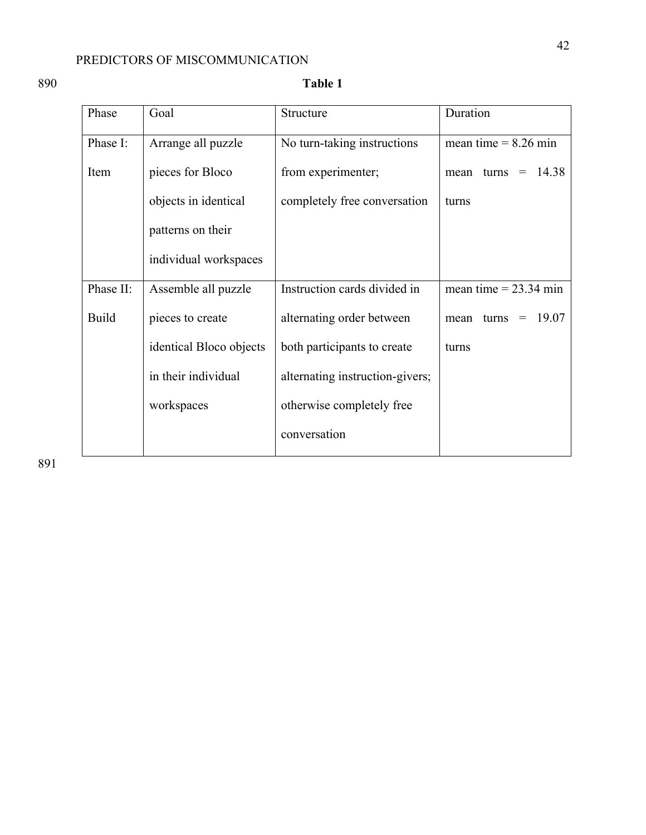## 890 **Table 1**

| Phase        | Goal                    | Structure                       | Duration                      |
|--------------|-------------------------|---------------------------------|-------------------------------|
| Phase I:     | Arrange all puzzle      | No turn-taking instructions     | mean time $= 8.26$ min        |
| Item         | pieces for Bloco        | from experimenter;              | 14.38<br>turns<br>mean<br>$=$ |
|              | objects in identical    | completely free conversation    | turns                         |
|              | patterns on their       |                                 |                               |
|              | individual workspaces   |                                 |                               |
| Phase II:    | Assemble all puzzle     | Instruction cards divided in    | mean time = $23.34$ min       |
| <b>Build</b> | pieces to create        | alternating order between       | 19.07<br>turns<br>mean<br>$=$ |
|              | identical Bloco objects | both participants to create     | turns                         |
|              | in their individual     | alternating instruction-givers; |                               |
|              | workspaces              | otherwise completely free       |                               |
|              |                         | conversation                    |                               |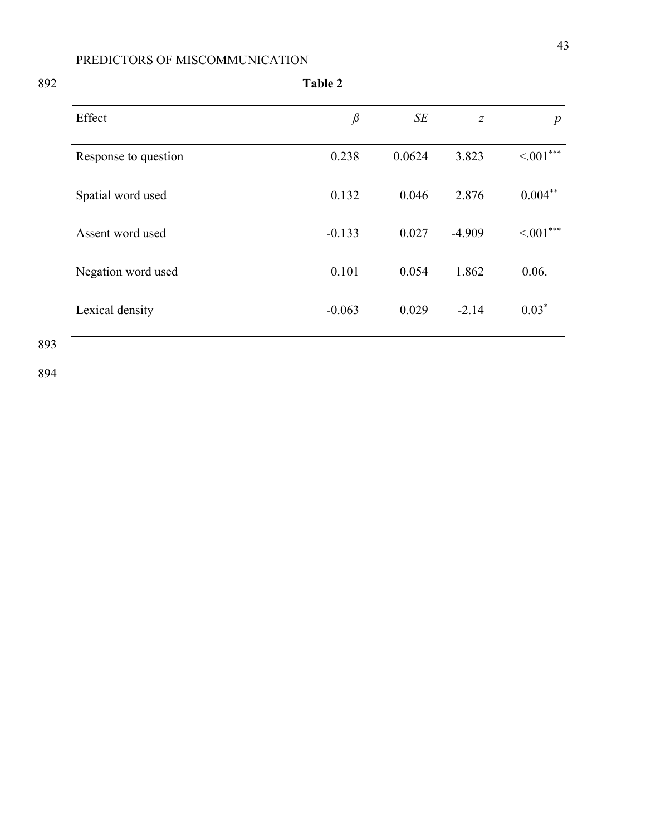| Table 2              |          |        |                  |                  |
|----------------------|----------|--------|------------------|------------------|
| Effect               | $\beta$  | SE     | $\boldsymbol{Z}$ | $\boldsymbol{p}$ |
| Response to question | 0.238    | 0.0624 | 3.823            | $\leq 001***$    |
| Spatial word used    | 0.132    | 0.046  | 2.876            | $0.004***$       |
| Assent word used     | $-0.133$ | 0.027  | $-4.909$         | $\leq 001***$    |
| Negation word used   | 0.101    | 0.054  | 1.862            | 0.06.            |
| Lexical density      | $-0.063$ | 0.029  | $-2.14$          | $0.03*$          |
|                      |          |        |                  |                  |

893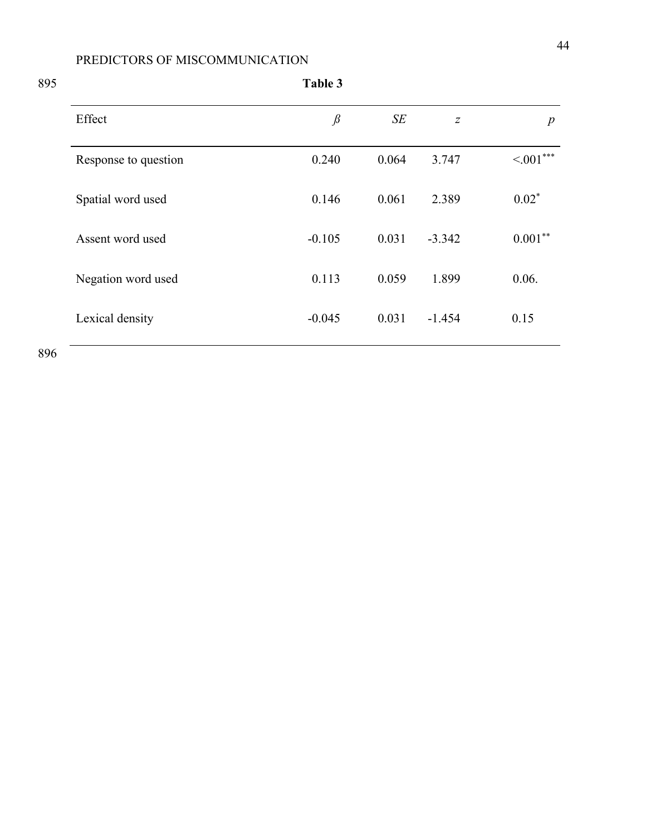| 895 |                      | Table 3                                                   |       |                  |                  |
|-----|----------------------|-----------------------------------------------------------|-------|------------------|------------------|
|     | Effect               | $\mathcal{G}% _{M_{1},M_{2}}^{\alpha,\beta}(\mathcal{A})$ | SE    | $\boldsymbol{Z}$ | $\boldsymbol{p}$ |
|     | Response to question | 0.240                                                     | 0.064 | 3.747            | $\leq 001***$    |
|     | Spatial word used    | 0.146                                                     | 0.061 | 2.389            | $0.02*$          |
|     | Assent word used     | $-0.105$                                                  | 0.031 | $-3.342$         | $0.001***$       |
|     | Negation word used   | 0.113                                                     | 0.059 | 1.899            | 0.06.            |
|     | Lexical density      | $-0.045$                                                  | 0.031 | $-1.454$         | 0.15             |
|     |                      |                                                           |       |                  |                  |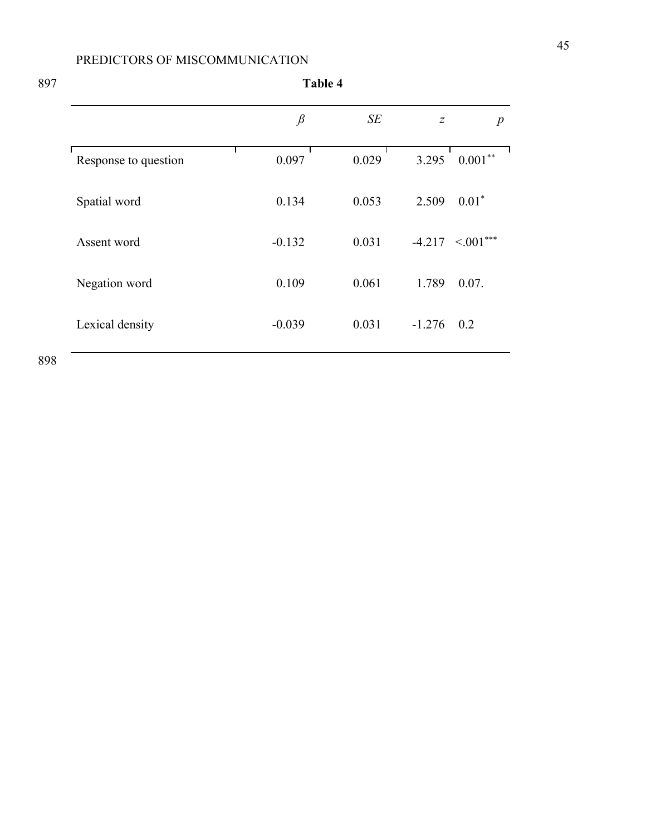897 **Table 4**

|                      | $\beta$  | SE    | $\overline{z}$ | $\boldsymbol{p}$        |
|----------------------|----------|-------|----------------|-------------------------|
| Response to question | 0.097    | 0.029 | 3.295          | $0.001***$              |
| Spatial word         | 0.134    | 0.053 | 2.509          | $0.01*$                 |
| Assent word          | $-0.132$ | 0.031 |                | $-4.217$ $\leq 0.01***$ |
| Negation word        | 0.109    | 0.061 | 1.789          | 0.07.                   |
| Lexical density      | $-0.039$ | 0.031 | $-1.276$       | 0.2                     |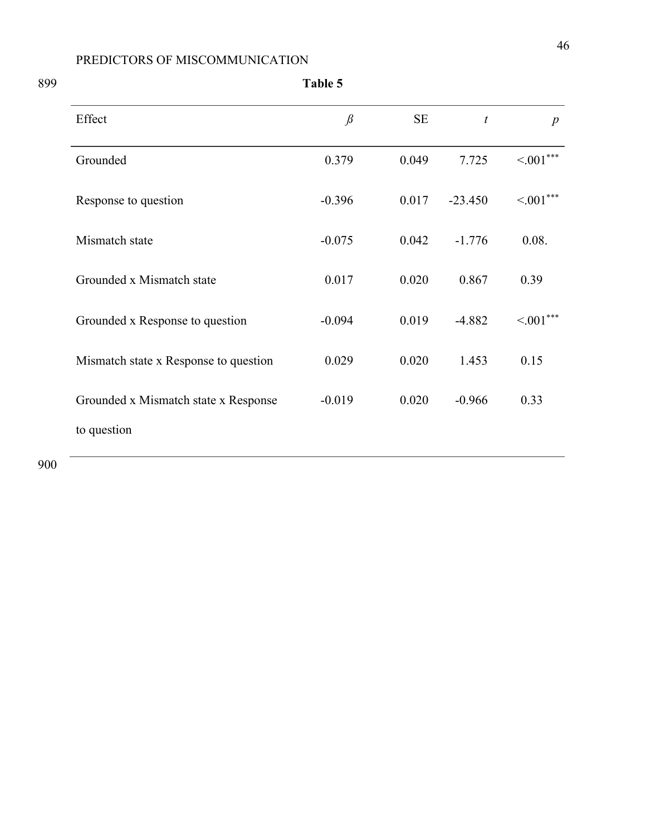| Effect                                | $\beta$  | SE    | $\boldsymbol{t}$ | $\boldsymbol{p}$ |
|---------------------------------------|----------|-------|------------------|------------------|
| Grounded                              | 0.379    | 0.049 | 7.725            | $\leq 001***$    |
| Response to question                  | $-0.396$ | 0.017 | $-23.450$        | $\leq 001***$    |
| Mismatch state                        | $-0.075$ | 0.042 | $-1.776$         | 0.08.            |
| Grounded x Mismatch state             | 0.017    | 0.020 | 0.867            | 0.39             |
| Grounded x Response to question       | $-0.094$ | 0.019 | $-4.882$         | $\leq 001***$    |
| Mismatch state x Response to question | 0.029    | 0.020 | 1.453            | 0.15             |
| Grounded x Mismatch state x Response  | $-0.019$ | 0.020 | $-0.966$         | 0.33             |
| to question                           |          |       |                  |                  |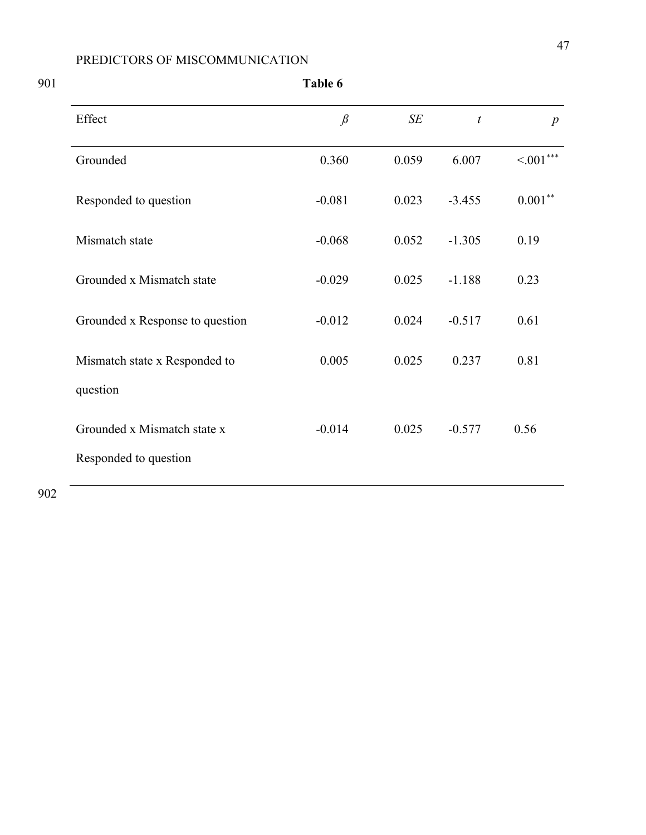| Table 6                                              |          |           |                  |                  |  |
|------------------------------------------------------|----------|-----------|------------------|------------------|--|
| Effect                                               | $\beta$  | $\cal SE$ | $\boldsymbol{t}$ | $\boldsymbol{p}$ |  |
| Grounded                                             | 0.360    | 0.059     | 6.007            | $\leq 001***$    |  |
| Responded to question                                | $-0.081$ | 0.023     | $-3.455$         | $0.001***$       |  |
| Mismatch state                                       | $-0.068$ | 0.052     | $-1.305$         | 0.19             |  |
| Grounded x Mismatch state                            | $-0.029$ | 0.025     | $-1.188$         | 0.23             |  |
| Grounded x Response to question                      | $-0.012$ | 0.024     | $-0.517$         | 0.61             |  |
| Mismatch state x Responded to                        | 0.005    | 0.025     | 0.237            | 0.81             |  |
| question                                             |          |           |                  |                  |  |
| Grounded x Mismatch state x<br>Responded to question | $-0.014$ | 0.025     | $-0.577$         | 0.56             |  |
|                                                      |          |           |                  |                  |  |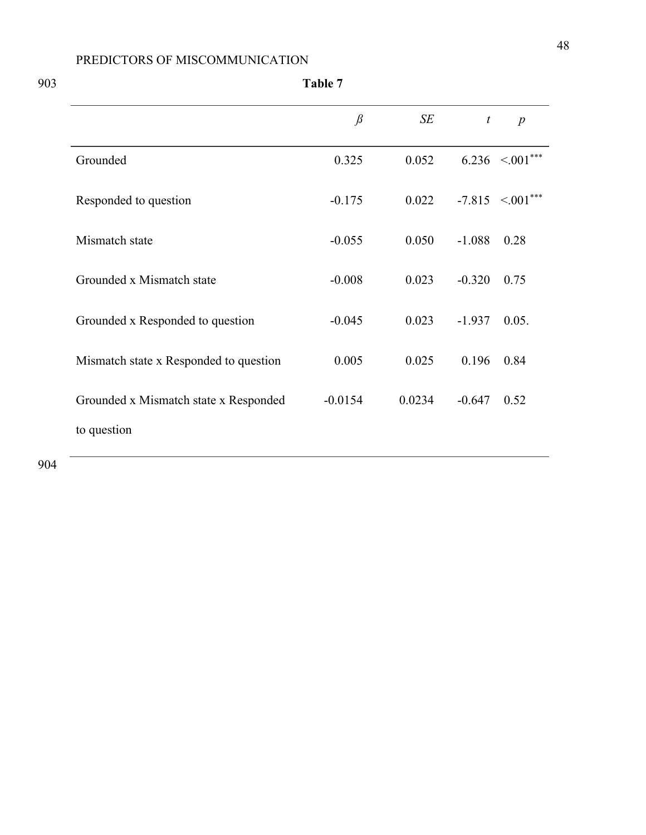|                                        | $\beta$   | SE     | $\boldsymbol{t}$ | $\boldsymbol{p}$        |
|----------------------------------------|-----------|--------|------------------|-------------------------|
| Grounded                               | 0.325     | 0.052  |                  | $6.236$ $\leq 0.01***$  |
| Responded to question                  | $-0.175$  | 0.022  |                  | $-7.815$ $\leq 0.01***$ |
| Mismatch state                         | $-0.055$  | 0.050  | $-1.088$         | 0.28                    |
| Grounded x Mismatch state              | $-0.008$  | 0.023  | $-0.320$         | 0.75                    |
| Grounded x Responded to question       | $-0.045$  | 0.023  | $-1.937$         | 0.05.                   |
| Mismatch state x Responded to question | 0.005     | 0.025  | 0.196            | 0.84                    |
| Grounded x Mismatch state x Responded  | $-0.0154$ | 0.0234 | $-0.647$         | 0.52                    |
| to question                            |           |        |                  |                         |

903 **Table 7**